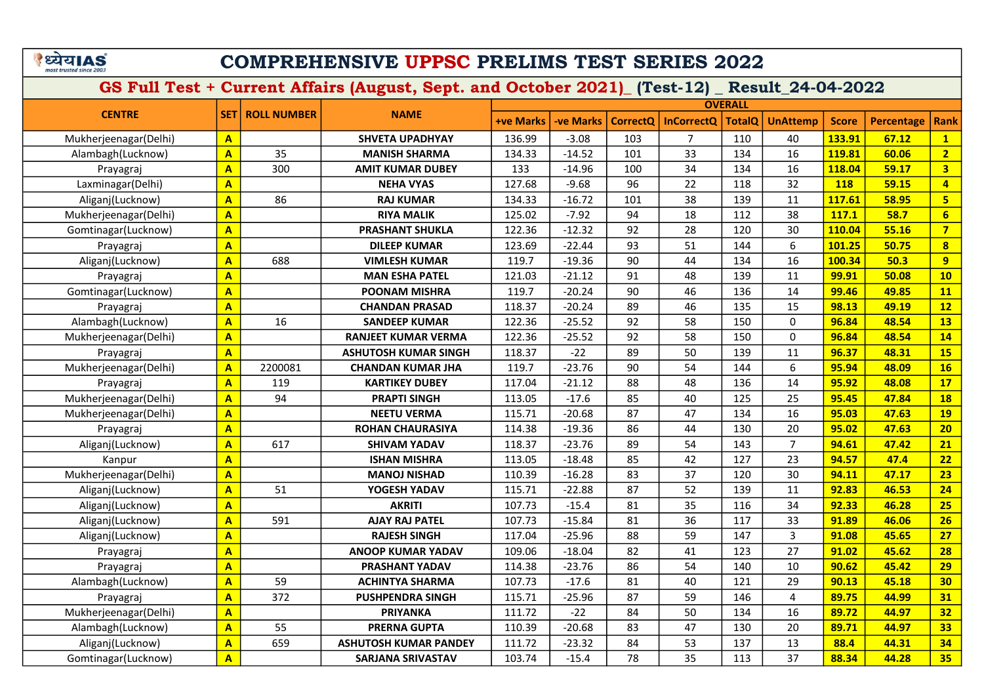### COMPREHENSIVE UPPSC PRELIMS TEST SERIES 2022

|                       |                         |                    |                              |                  |                  |                 |                   | <b>OVERALL</b> |                 |              |                   |                         |
|-----------------------|-------------------------|--------------------|------------------------------|------------------|------------------|-----------------|-------------------|----------------|-----------------|--------------|-------------------|-------------------------|
| <b>CENTRE</b>         | <b>SET</b>              | <b>ROLL NUMBER</b> | <b>NAME</b>                  | <b>+ve Marks</b> | <b>-ve Marks</b> | <b>CorrectQ</b> | <b>InCorrectQ</b> | <b>TotalQ</b>  | <b>UnAttemp</b> | <b>Score</b> | <b>Percentage</b> | <b>Rank</b>             |
| Mukherjeenagar(Delhi) | $\mathbf{A}$            |                    | <b>SHVETA UPADHYAY</b>       | 136.99           | $-3.08$          | 103             | $\overline{7}$    | 110            | 40              | 133.91       | 67.12             | $\mathbf{1}$            |
| Alambagh(Lucknow)     | $\mathbf{A}$            | 35                 | <b>MANISH SHARMA</b>         | 134.33           | $-14.52$         | 101             | 33                | 134            | 16              | 119.81       | 60.06             | $\overline{2}$          |
| Prayagraj             | $\overline{\mathsf{A}}$ | 300                | <b>AMIT KUMAR DUBEY</b>      | 133              | $-14.96$         | 100             | 34                | 134            | 16              | 118.04       | 59.17             | $\overline{\mathbf{3}}$ |
| Laxminagar(Delhi)     | $\overline{\mathsf{A}}$ |                    | <b>NEHA VYAS</b>             | 127.68           | $-9.68$          | 96              | 22                | 118            | 32              | <b>118</b>   | 59.15             | $\overline{4}$          |
| Aliganj(Lucknow)      | $\overline{\mathsf{A}}$ | 86                 | <b>RAJ KUMAR</b>             | 134.33           | $-16.72$         | 101             | 38                | 139            | 11              | 117.61       | 58.95             | $5\overline{ }$         |
| Mukherjeenagar(Delhi) | $\overline{\mathbf{A}}$ |                    | <b>RIYA MALIK</b>            | 125.02           | $-7.92$          | 94              | 18                | 112            | 38              | 117.1        | 58.7              | $6\overline{6}$         |
| Gomtinagar(Lucknow)   | $\overline{\mathbf{A}}$ |                    | <b>PRASHANT SHUKLA</b>       | 122.36           | $-12.32$         | 92              | 28                | 120            | 30              | 110.04       | 55.16             | $\overline{7}$          |
| Prayagraj             | $\overline{\mathbf{A}}$ |                    | <b>DILEEP KUMAR</b>          | 123.69           | $-22.44$         | 93              | 51                | 144            | 6               | 101.25       | 50.75             | 8                       |
| Aliganj(Lucknow)      | $\mathbf{A}$            | 688                | <b>VIMLESH KUMAR</b>         | 119.7            | $-19.36$         | 90              | 44                | 134            | 16              | 100.34       | 50.3              | 9                       |
| Prayagraj             | $\overline{A}$          |                    | <b>MAN ESHA PATEL</b>        | 121.03           | $-21.12$         | 91              | 48                | 139            | 11              | 99.91        | 50.08             | 10                      |
| Gomtinagar(Lucknow)   | $\overline{\mathbf{A}}$ |                    | <b>POONAM MISHRA</b>         | 119.7            | $-20.24$         | 90              | 46                | 136            | 14              | 99.46        | 49.85             | 11                      |
| Prayagraj             | $\overline{\mathbf{A}}$ |                    | <b>CHANDAN PRASAD</b>        | 118.37           | $-20.24$         | 89              | 46                | 135            | 15              | 98.13        | 49.19             | 12                      |
| Alambagh(Lucknow)     | $\overline{\mathsf{A}}$ | 16                 | <b>SANDEEP KUMAR</b>         | 122.36           | $-25.52$         | 92              | 58                | 150            | $\mathbf 0$     | 96.84        | 48.54             | <b>13</b>               |
| Mukherjeenagar(Delhi) | $\mathbf{A}$            |                    | <b>RANJEET KUMAR VERMA</b>   | 122.36           | $-25.52$         | 92              | 58                | 150            | $\mathbf{0}$    | 96.84        | 48.54             | 14                      |
| Prayagraj             | $\overline{\mathbf{A}}$ |                    | ASHUTOSH KUMAR SINGH         | 118.37           | $-22$            | 89              | 50                | 139            | 11              | 96.37        | 48.31             | <b>15</b>               |
| Mukherjeenagar(Delhi) | $\overline{\mathbf{A}}$ | 2200081            | <b>CHANDAN KUMAR JHA</b>     | 119.7            | $-23.76$         | 90              | 54                | 144            | 6               | 95.94        | 48.09             | 16                      |
| Prayagraj             | $\mathbf{A}$            | 119                | <b>KARTIKEY DUBEY</b>        | 117.04           | $-21.12$         | 88              | 48                | 136            | 14              | 95.92        | 48.08             | 17                      |
| Mukherjeenagar(Delhi) | $\overline{\mathbf{A}}$ | 94                 | <b>PRAPTI SINGH</b>          | 113.05           | $-17.6$          | 85              | 40                | 125            | 25              | 95.45        | 47.84             | <b>18</b>               |
| Mukherjeenagar(Delhi) | $\overline{\mathbf{A}}$ |                    | <b>NEETU VERMA</b>           | 115.71           | $-20.68$         | 87              | 47                | 134            | 16              | 95.03        | 47.63             | <b>19</b>               |
| Prayagraj             | $\overline{\mathbf{A}}$ |                    | <b>ROHAN CHAURASIYA</b>      | 114.38           | $-19.36$         | 86              | 44                | 130            | 20              | 95.02        | 47.63             | 20                      |
| Aliganj(Lucknow)      | $\overline{A}$          | 617                | <b>SHIVAM YADAV</b>          | 118.37           | $-23.76$         | 89              | 54                | 143            | $\overline{7}$  | 94.61        | 47.42             | 21                      |
| Kanpur                | $\mathbf{A}$            |                    | <b>ISHAN MISHRA</b>          | 113.05           | $-18.48$         | 85              | 42                | 127            | 23              | 94.57        | 47.4              | 22                      |
| Mukherjeenagar(Delhi) | $\overline{\mathbf{A}}$ |                    | <b>MANOJ NISHAD</b>          | 110.39           | $-16.28$         | 83              | 37                | 120            | 30              | 94.11        | 47.17             | 23                      |
| Aliganj(Lucknow)      | $\overline{\mathsf{A}}$ | 51                 | YOGESH YADAV                 | 115.71           | $-22.88$         | 87              | 52                | 139            | 11              | 92.83        | 46.53             | 24                      |
| Aliganj(Lucknow)      | $\overline{\mathsf{A}}$ |                    | <b>AKRITI</b>                | 107.73           | $-15.4$          | 81              | 35                | 116            | 34              | 92.33        | 46.28             | 25                      |
| Aliganj(Lucknow)      | A                       | 591                | <b>AJAY RAJ PATEL</b>        | 107.73           | $-15.84$         | 81              | 36                | 117            | 33              | 91.89        | 46.06             | 26                      |
| Aliganj(Lucknow)      | A                       |                    | <b>RAJESH SINGH</b>          | 117.04           | $-25.96$         | 88              | 59                | 147            | 3               | 91.08        | 45.65             | 27                      |
| Prayagraj             | $\overline{\mathsf{A}}$ |                    | <b>ANOOP KUMAR YADAV</b>     | 109.06           | $-18.04$         | 82              | 41                | 123            | 27              | 91.02        | 45.62             | 28                      |
| Prayagraj             | $\overline{\mathsf{A}}$ |                    | <b>PRASHANT YADAV</b>        | 114.38           | $-23.76$         | 86              | 54                | 140            | 10              | 90.62        | 45.42             | 29                      |
| Alambagh(Lucknow)     | $\overline{\mathsf{A}}$ | 59                 | <b>ACHINTYA SHARMA</b>       | 107.73           | $-17.6$          | 81              | 40                | 121            | 29              | 90.13        | 45.18             | 30                      |
| Prayagraj             | $\overline{\mathbf{A}}$ | 372                | <b>PUSHPENDRA SINGH</b>      | 115.71           | $-25.96$         | 87              | 59                | 146            | 4               | 89.75        | 44.99             | 31                      |
| Mukherjeenagar(Delhi) | $\overline{\mathbf{A}}$ |                    | <b>PRIYANKA</b>              | 111.72           | $-22$            | 84              | 50                | 134            | 16              | 89.72        | 44.97             | 32                      |
| Alambagh(Lucknow)     | $\overline{\mathsf{A}}$ | 55                 | <b>PRERNA GUPTA</b>          | 110.39           | $-20.68$         | 83              | 47                | 130            | 20              | 89.71        | 44.97             | 33                      |
| Aliganj(Lucknow)      | $\mathbf{A}$            | 659                | <b>ASHUTOSH KUMAR PANDEY</b> | 111.72           | $-23.32$         | 84              | 53                | 137            | 13              | 88.4         | 44.31             | 34                      |
| Gomtinagar(Lucknow)   | $\overline{\mathsf{A}}$ |                    | <b>SARJANA SRIVASTAV</b>     | 103.74           | $-15.4$          | 78              | 35                | 113            | 37              | 88.34        | 44.28             | 35 <sub>2</sub>         |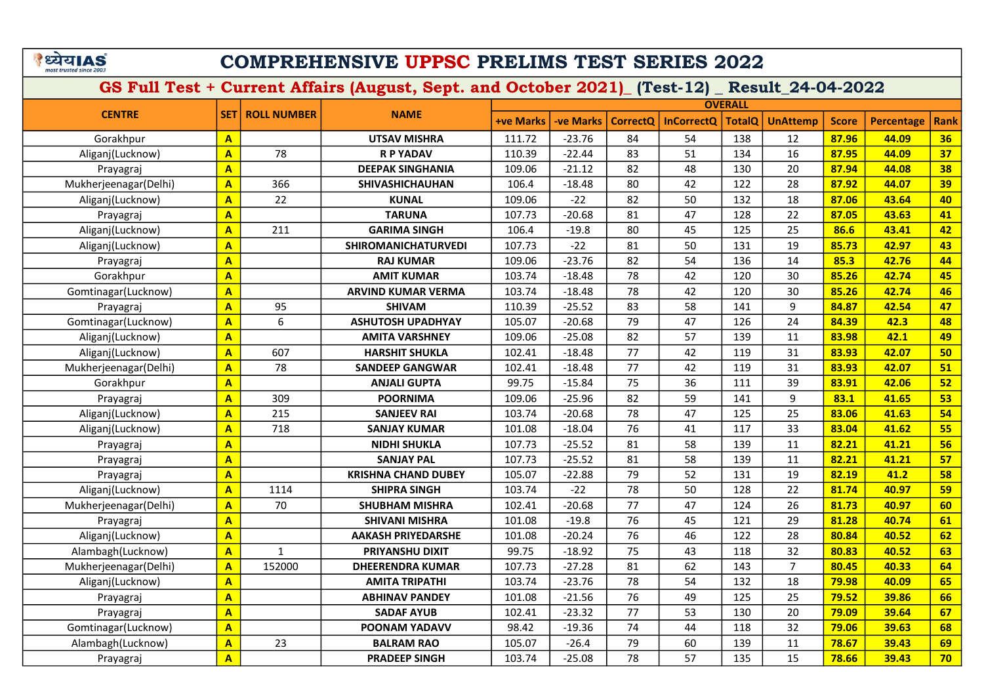# COMPREHENSIVE UPPSC PRELIMS TEST SERIES 2022

|                       |                         |                    |                            |                  |                  |                 |                       | <b>OVERALL</b> |                 |              |                   |      |
|-----------------------|-------------------------|--------------------|----------------------------|------------------|------------------|-----------------|-----------------------|----------------|-----------------|--------------|-------------------|------|
| <b>CENTRE</b>         | <b>SET</b>              | <b>ROLL NUMBER</b> | <b>NAME</b>                | <b>+ve Marks</b> | <b>-ve Marks</b> |                 | CorrectQ   InCorrectQ | <b>TotalQ</b>  | <b>UnAttemp</b> | <b>Score</b> | <b>Percentage</b> | Rank |
| Gorakhpur             | $\overline{A}$          |                    | <b>UTSAV MISHRA</b>        | 111.72           | $-23.76$         | 84              | 54                    | 138            | 12              | 87.96        | 44.09             | 36   |
| Aliganj(Lucknow)      | $\overline{\mathbf{A}}$ | 78                 | <b>R P YADAV</b>           | 110.39           | $-22.44$         | 83              | 51                    | 134            | 16              | 87.95        | 44.09             | 37   |
| Prayagraj             | $\mathbf{A}$            |                    | <b>DEEPAK SINGHANIA</b>    | 109.06           | $-21.12$         | 82              | 48                    | 130            | 20              | 87.94        | 44.08             | 38   |
| Mukherjeenagar(Delhi) | $\overline{\mathbf{A}}$ | 366                | <b>SHIVASHICHAUHAN</b>     | 106.4            | $-18.48$         | 80              | 42                    | 122            | 28              | 87.92        | 44.07             | 39   |
| Aliganj(Lucknow)      | $\overline{\mathsf{A}}$ | 22                 | <b>KUNAL</b>               | 109.06           | $-22$            | 82              | 50                    | 132            | 18              | 87.06        | 43.64             | 40   |
| Prayagraj             | $\overline{\mathsf{A}}$ |                    | <b>TARUNA</b>              | 107.73           | $-20.68$         | 81              | 47                    | 128            | 22              | 87.05        | 43.63             | 41   |
| Aliganj(Lucknow)      | $\mathbf{A}$            | 211                | <b>GARIMA SINGH</b>        | 106.4            | $-19.8$          | 80              | 45                    | 125            | 25              | 86.6         | 43.41             | 42   |
| Aliganj(Lucknow)      | $\overline{\mathbf{A}}$ |                    | <b>SHIROMANICHATURVEDI</b> | 107.73           | $-22$            | 81              | 50                    | 131            | 19              | 85.73        | 42.97             | 43   |
| Prayagraj             | $\overline{\mathbf{A}}$ |                    | <b>RAJ KUMAR</b>           | 109.06           | $-23.76$         | 82              | 54                    | 136            | 14              | 85.3         | 42.76             | 44   |
| Gorakhpur             | $\overline{\mathbf{A}}$ |                    | <b>AMIT KUMAR</b>          | 103.74           | $-18.48$         | 78              | 42                    | 120            | 30              | 85.26        | 42.74             | 45   |
| Gomtinagar(Lucknow)   | $\overline{\mathbf{A}}$ |                    | <b>ARVIND KUMAR VERMA</b>  | 103.74           | $-18.48$         | 78              | 42                    | 120            | 30              | 85.26        | 42.74             | 46   |
| Prayagraj             | $\overline{\mathsf{A}}$ | 95                 | <b>SHIVAM</b>              | 110.39           | $-25.52$         | 83              | 58                    | 141            | 9               | 84.87        | 42.54             | 47   |
| Gomtinagar(Lucknow)   | $\overline{\mathbf{A}}$ | 6                  | <b>ASHUTOSH UPADHYAY</b>   | 105.07           | $-20.68$         | 79              | 47                    | 126            | 24              | 84.39        | 42.3              | 48   |
| Aliganj(Lucknow)      | $\overline{\mathbf{A}}$ |                    | <b>AMITA VARSHNEY</b>      | 109.06           | $-25.08$         | 82              | 57                    | 139            | 11              | 83.98        | 42.1              | 49   |
| Aliganj(Lucknow)      | $\overline{\mathbf{A}}$ | 607                | <b>HARSHIT SHUKLA</b>      | 102.41           | $-18.48$         | 77              | 42                    | 119            | 31              | 83.93        | 42.07             | 50   |
| Mukherjeenagar(Delhi) | $\overline{A}$          | 78                 | <b>SANDEEP GANGWAR</b>     | 102.41           | $-18.48$         | 77              | 42                    | 119            | 31              | 83.93        | 42.07             | 51   |
| Gorakhpur             | $\overline{\mathbf{A}}$ |                    | <b>ANJALI GUPTA</b>        | 99.75            | $-15.84$         | 75              | 36                    | 111            | 39              | 83.91        | 42.06             | 52   |
| Prayagraj             | $\overline{A}$          | 309                | <b>POORNIMA</b>            | 109.06           | $-25.96$         | 82              | 59                    | 141            | 9               | 83.1         | 41.65             | 53   |
| Aliganj(Lucknow)      | $\overline{A}$          | 215                | <b>SANJEEV RAI</b>         | 103.74           | $-20.68$         | 78              | 47                    | 125            | 25              | 83.06        | 41.63             | 54   |
| Aliganj(Lucknow)      | $\overline{\mathsf{A}}$ | 718                | <b>SANJAY KUMAR</b>        | 101.08           | $-18.04$         | 76              | 41                    | 117            | 33              | 83.04        | 41.62             | 55   |
| Prayagraj             | $\overline{\mathbf{A}}$ |                    | <b>NIDHI SHUKLA</b>        | 107.73           | $-25.52$         | 81              | 58                    | 139            | 11              | 82.21        | 41.21             | 56   |
| Prayagraj             | $\overline{A}$          |                    | <b>SANJAY PAL</b>          | 107.73           | $-25.52$         | 81              | 58                    | 139            | 11              | 82.21        | 41.21             | 57   |
| Prayagraj             | $\overline{\mathbf{A}}$ |                    | <b>KRISHNA CHAND DUBEY</b> | 105.07           | $-22.88$         | 79              | 52                    | 131            | 19              | 82.19        | 41.2              | 58   |
| Aliganj(Lucknow)      | $\mathbf{A}$            | 1114               | <b>SHIPRA SINGH</b>        | 103.74           | $-22$            | 78              | 50                    | 128            | 22              | 81.74        | 40.97             | 59   |
| Mukherjeenagar(Delhi) | $\overline{\mathbf{A}}$ | 70                 | <b>SHUBHAM MISHRA</b>      | 102.41           | $-20.68$         | $\overline{77}$ | 47                    | 124            | 26              | 81.73        | 40.97             | 60   |
| Prayagraj             | $\overline{\mathsf{A}}$ |                    | <b>SHIVANI MISHRA</b>      | 101.08           | $-19.8$          | 76              | 45                    | 121            | 29              | 81.28        | 40.74             | 61   |
| Aliganj(Lucknow)      | $\overline{\mathsf{A}}$ |                    | <b>AAKASH PRIYEDARSHE</b>  | 101.08           | $-20.24$         | 76              | 46                    | 122            | 28              | 80.84        | 40.52             | 62   |
| Alambagh(Lucknow)     | $\overline{\mathsf{A}}$ | $\mathbf{1}$       | PRIYANSHU DIXIT            | 99.75            | $-18.92$         | 75              | 43                    | 118            | 32              | 80.83        | 40.52             | 63   |
| Mukherjeenagar(Delhi) | $\overline{A}$          | 152000             | <b>DHEERENDRA KUMAR</b>    | 107.73           | $-27.28$         | 81              | 62                    | 143            | $\overline{7}$  | 80.45        | 40.33             | 64   |
| Aliganj(Lucknow)      | $\overline{\mathsf{A}}$ |                    | <b>AMITA TRIPATHI</b>      | 103.74           | $-23.76$         | 78              | 54                    | 132            | 18              | 79.98        | 40.09             | 65   |
| Prayagraj             | $\overline{A}$          |                    | <b>ABHINAV PANDEY</b>      | 101.08           | $-21.56$         | 76              | 49                    | 125            | 25              | 79.52        | 39.86             | 66   |
| Prayagraj             | $\overline{\mathsf{A}}$ |                    | <b>SADAF AYUB</b>          | 102.41           | $-23.32$         | 77              | 53                    | 130            | 20              | 79.09        | 39.64             | 67   |
| Gomtinagar(Lucknow)   | $\overline{\mathsf{A}}$ |                    | POONAM YADAVV              | 98.42            | $-19.36$         | 74              | 44                    | 118            | 32              | 79.06        | 39.63             | 68   |
| Alambagh(Lucknow)     | $\overline{\mathsf{A}}$ | 23                 | <b>BALRAM RAO</b>          | 105.07           | $-26.4$          | 79              | 60                    | 139            | 11              | 78.67        | 39.43             | 69   |
| Prayagraj             | $\overline{\mathsf{A}}$ |                    | <b>PRADEEP SINGH</b>       | 103.74           | $-25.08$         | 78              | 57                    | 135            | 15              | 78.66        | 39.43             | 70   |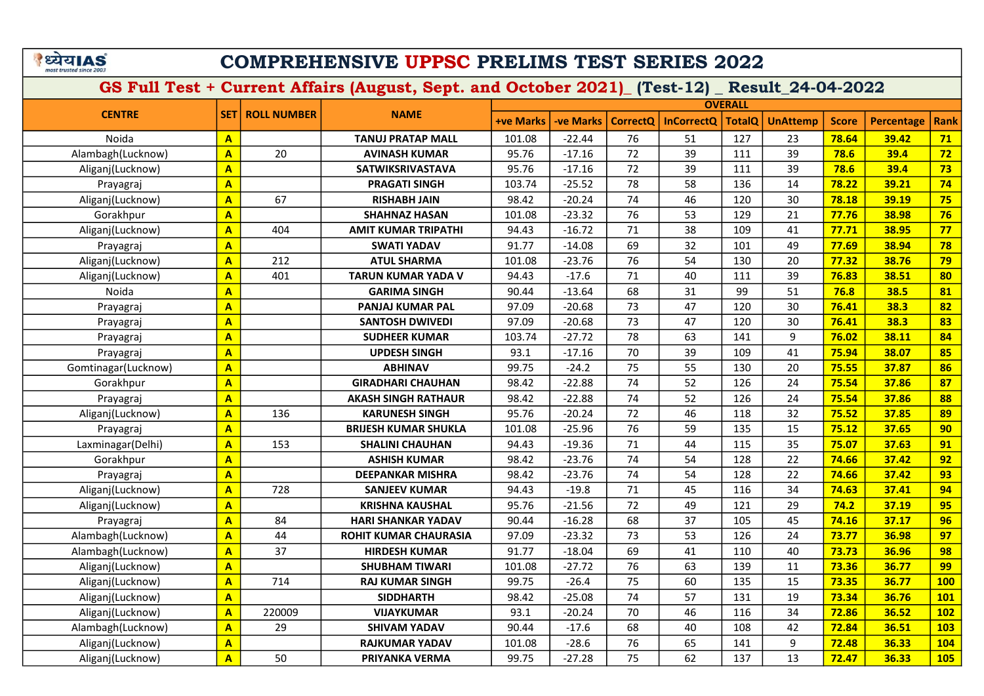### COMPREHENSIVE UPPSC PRELIMS TEST SERIES 2022

|                     |                         |                          |                              |                  |                 |                 |                   | <b>OVERALL</b> |                 |              |                   |             |
|---------------------|-------------------------|--------------------------|------------------------------|------------------|-----------------|-----------------|-------------------|----------------|-----------------|--------------|-------------------|-------------|
| <b>CENTRE</b>       |                         | <b>SET   ROLL NUMBER</b> | <b>NAME</b>                  | <b>+ve Marks</b> | <b>ve Marks</b> | <b>CorrectQ</b> | <b>InCorrectQ</b> | <b>TotalQ</b>  | <b>UnAttemp</b> | <b>Score</b> | <b>Percentage</b> | <b>Rank</b> |
| Noida               | $\mathbf{A}$            |                          | <b>TANUJ PRATAP MALL</b>     | 101.08           | $-22.44$        | 76              | 51                | 127            | 23              | 78.64        | 39.42             | 71          |
| Alambagh(Lucknow)   | $\mathbf{A}$            | 20                       | <b>AVINASH KUMAR</b>         | 95.76            | $-17.16$        | 72              | 39                | 111            | 39              | 78.6         | 39.4              | 72          |
| Aliganj(Lucknow)    | $\mathbf{A}$            |                          | <b>SATWIKSRIVASTAVA</b>      | 95.76            | $-17.16$        | 72              | 39                | 111            | 39              | 78.6         | 39.4              | 73          |
| Prayagraj           | $\overline{\mathbf{A}}$ |                          | <b>PRAGATI SINGH</b>         | 103.74           | $-25.52$        | 78              | 58                | 136            | 14              | 78.22        | 39.21             | 74          |
| Aliganj(Lucknow)    | $\overline{\mathbf{A}}$ | 67                       | <b>RISHABH JAIN</b>          | 98.42            | $-20.24$        | 74              | 46                | 120            | 30              | 78.18        | 39.19             | 75          |
| Gorakhpur           | $\overline{\mathsf{A}}$ |                          | <b>SHAHNAZ HASAN</b>         | 101.08           | $-23.32$        | 76              | 53                | 129            | 21              | 77.76        | 38.98             | 76          |
| Aliganj(Lucknow)    | $\overline{\mathbf{A}}$ | 404                      | <b>AMIT KUMAR TRIPATHI</b>   | 94.43            | $-16.72$        | 71              | 38                | 109            | 41              | 77.71        | 38.95             | 77          |
| Prayagraj           | $\mathbf{A}$            |                          | <b>SWATI YADAV</b>           | 91.77            | $-14.08$        | 69              | 32                | 101            | 49              | 77.69        | 38.94             | 78          |
| Aliganj(Lucknow)    | $\overline{\mathbf{A}}$ | 212                      | <b>ATUL SHARMA</b>           | 101.08           | $-23.76$        | 76              | 54                | 130            | 20              | 77.32        | 38.76             | 79          |
| Aliganj(Lucknow)    | $\mathbf{A}$            | 401                      | TARUN KUMAR YADA V           | 94.43            | $-17.6$         | 71              | 40                | 111            | 39              | 76.83        | 38.51             | 80          |
| Noida               | $\overline{\mathbf{A}}$ |                          | <b>GARIMA SINGH</b>          | 90.44            | $-13.64$        | 68              | 31                | 99             | 51              | 76.8         | 38.5              | 81          |
| Prayagraj           | $\overline{\mathbf{A}}$ |                          | PANJAJ KUMAR PAL             | 97.09            | $-20.68$        | 73              | 47                | 120            | 30              | 76.41        | 38.3              | 82          |
| Prayagraj           | $\overline{\mathbf{A}}$ |                          | <b>SANTOSH DWIVEDI</b>       | 97.09            | $-20.68$        | 73              | 47                | 120            | 30              | 76.41        | 38.3              | 83          |
| Prayagraj           | $\overline{A}$          |                          | <b>SUDHEER KUMAR</b>         | 103.74           | $-27.72$        | 78              | 63                | 141            | 9               | 76.02        | 38.11             | 84          |
| Prayagraj           | $\overline{A}$          |                          | <b>UPDESH SINGH</b>          | 93.1             | $-17.16$        | 70              | 39                | 109            | 41              | 75.94        | 38.07             | 85          |
| Gomtinagar(Lucknow) | $\overline{A}$          |                          | <b>ABHINAV</b>               | 99.75            | $-24.2$         | 75              | 55                | 130            | 20              | 75.55        | 37.87             | 86          |
| Gorakhpur           | $\overline{\mathbf{A}}$ |                          | <b>GIRADHARI CHAUHAN</b>     | 98.42            | $-22.88$        | 74              | 52                | 126            | 24              | 75.54        | 37.86             | 87          |
| Prayagraj           | $\overline{\mathbf{A}}$ |                          | <b>AKASH SINGH RATHAUR</b>   | 98.42            | $-22.88$        | 74              | 52                | 126            | 24              | 75.54        | 37.86             | 88          |
| Aliganj(Lucknow)    | $\overline{\mathbf{A}}$ | 136                      | <b>KARUNESH SINGH</b>        | 95.76            | $-20.24$        | 72              | 46                | 118            | 32              | 75.52        | 37.85             | 89          |
| Prayagraj           | $\mathbf{A}$            |                          | <b>BRIJESH KUMAR SHUKLA</b>  | 101.08           | $-25.96$        | 76              | 59                | 135            | 15              | 75.12        | 37.65             | 90          |
| Laxminagar(Delhi)   | $\overline{A}$          | 153                      | <b>SHALINI CHAUHAN</b>       | 94.43            | $-19.36$        | 71              | 44                | 115            | 35              | 75.07        | 37.63             | 91          |
| Gorakhpur           | $\overline{\mathbf{A}}$ |                          | <b>ASHISH KUMAR</b>          | 98.42            | $-23.76$        | 74              | 54                | 128            | 22              | 74.66        | 37.42             | 92          |
| Prayagraj           | $\mathbf{A}$            |                          | <b>DEEPANKAR MISHRA</b>      | 98.42            | $-23.76$        | 74              | 54                | 128            | 22              | 74.66        | 37.42             | 93          |
| Aliganj(Lucknow)    | $\overline{\mathbf{A}}$ | 728                      | <b>SANJEEV KUMAR</b>         | 94.43            | $-19.8$         | 71              | 45                | 116            | 34              | 74.63        | 37.41             | 94          |
| Aliganj(Lucknow)    | $\overline{\mathbf{A}}$ |                          | <b>KRISHNA KAUSHAL</b>       | 95.76            | $-21.56$        | 72              | 49                | 121            | 29              | 74.2         | 37.19             | 95          |
| Prayagraj           | $\overline{\mathbf{A}}$ | 84                       | <b>HARI SHANKAR YADAV</b>    | 90.44            | $-16.28$        | 68              | 37                | 105            | 45              | 74.16        | 37.17             | 96          |
| Alambagh(Lucknow)   | $\overline{\mathbf{A}}$ | 44                       | <b>ROHIT KUMAR CHAURASIA</b> | 97.09            | $-23.32$        | 73              | 53                | 126            | 24              | 73.77        | 36.98             | 97          |
| Alambagh(Lucknow)   | $\overline{\mathbf{A}}$ | 37                       | <b>HIRDESH KUMAR</b>         | 91.77            | $-18.04$        | 69              | 41                | 110            | 40              | 73.73        | 36.96             | 98          |
| Aliganj(Lucknow)    | $\mathbf{A}$            |                          | <b>SHUBHAM TIWARI</b>        | 101.08           | $-27.72$        | 76              | 63                | 139            | 11              | 73.36        | 36.77             | 99          |
| Aliganj(Lucknow)    | $\overline{\mathbf{A}}$ | 714                      | <b>RAJ KUMAR SINGH</b>       | 99.75            | $-26.4$         | 75              | 60                | 135            | 15              | 73.35        | 36.77             | <b>100</b>  |
| Aliganj(Lucknow)    | $\mathbf{A}$            |                          | <b>SIDDHARTH</b>             | 98.42            | $-25.08$        | 74              | 57                | 131            | 19              | 73.34        | 36.76             | <b>101</b>  |
| Aliganj(Lucknow)    | $\overline{\mathbf{A}}$ | 220009                   | <b>VIJAYKUMAR</b>            | 93.1             | $-20.24$        | 70              | 46                | 116            | 34              | 72.86        | 36.52             | <b>102</b>  |
| Alambagh(Lucknow)   | $\mathbf{A}$            | 29                       | <b>SHIVAM YADAV</b>          | 90.44            | $-17.6$         | 68              | 40                | 108            | 42              | 72.84        | 36.51             | <b>103</b>  |
| Aliganj(Lucknow)    | $\mathbf{A}$            |                          | <b>RAJKUMAR YADAV</b>        | 101.08           | $-28.6$         | 76              | 65                | 141            | 9               | 72.48        | 36.33             | 104         |
| Aliganj(Lucknow)    | $\overline{\mathsf{A}}$ | 50                       | <b>PRIYANKA VERMA</b>        | 99.75            | $-27.28$        | 75              | 62                | 137            | 13              | 72.47        | 36.33             | <b>105</b>  |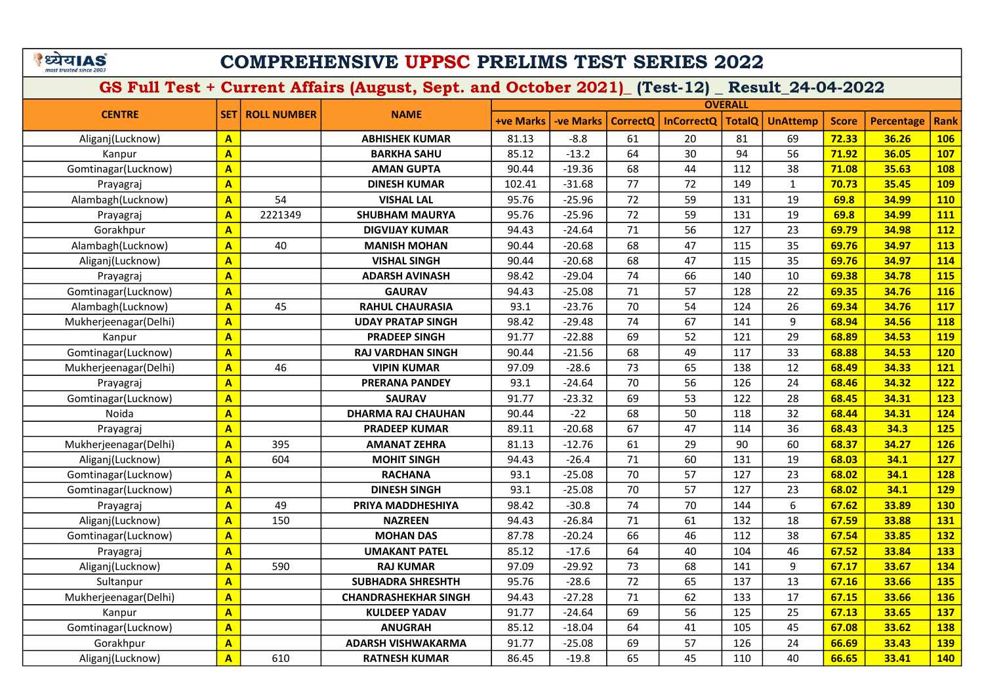# COMPREHENSIVE UPPSC PRELIMS TEST SERIES 2022

|                       |                         |                    |                             |                  |                 |                 |                   | <b>OVERALL</b> |                 |              |                   |             |
|-----------------------|-------------------------|--------------------|-----------------------------|------------------|-----------------|-----------------|-------------------|----------------|-----------------|--------------|-------------------|-------------|
| <b>CENTRE</b>         | <b>SET1</b>             | <b>ROLL NUMBER</b> | <b>NAME</b>                 | <b>+ve Marks</b> | <b>ve Marks</b> | <b>CorrectQ</b> | <b>InCorrectQ</b> | <b>TotalQ</b>  | <b>UnAttemp</b> | <b>Score</b> | <b>Percentage</b> | <b>Rank</b> |
| Aliganj(Lucknow)      | $\mathbf{A}$            |                    | <b>ABHISHEK KUMAR</b>       | 81.13            | $-8.8$          | 61              | 20                | 81             | 69              | 72.33        | 36.26             | <b>106</b>  |
| Kanpur                | $\overline{\mathbf{A}}$ |                    | <b>BARKHA SAHU</b>          | 85.12            | $-13.2$         | 64              | 30                | 94             | 56              | 71.92        | 36.05             | 107         |
| Gomtinagar(Lucknow)   | $\overline{\mathbf{A}}$ |                    | <b>AMAN GUPTA</b>           | 90.44            | $-19.36$        | 68              | 44                | 112            | 38              | 71.08        | 35.63             | <b>108</b>  |
| Prayagraj             | $\mathbf{A}$            |                    | <b>DINESH KUMAR</b>         | 102.41           | $-31.68$        | 77              | 72                | 149            | $\mathbf{1}$    | 70.73        | 35.45             | <b>109</b>  |
| Alambagh(Lucknow)     | $\mathbf{A}$            | 54                 | <b>VISHAL LAL</b>           | 95.76            | $-25.96$        | 72              | 59                | 131            | 19              | 69.8         | 34.99             | <b>110</b>  |
| Prayagraj             | $\overline{A}$          | 2221349            | <b>SHUBHAM MAURYA</b>       | 95.76            | $-25.96$        | 72              | 59                | 131            | 19              | 69.8         | 34.99             | 111         |
| Gorakhpur             | $\mathbf{A}$            |                    | <b>DIGVIJAY KUMAR</b>       | 94.43            | $-24.64$        | 71              | 56                | 127            | 23              | 69.79        | 34.98             | 112         |
| Alambagh(Lucknow)     | $\mathbf{A}$            | 40                 | <b>MANISH MOHAN</b>         | 90.44            | $-20.68$        | 68              | 47                | 115            | 35              | 69.76        | 34.97             | 113         |
| Aliganj(Lucknow)      | $\mathbf{A}$            |                    | <b>VISHAL SINGH</b>         | 90.44            | $-20.68$        | 68              | 47                | 115            | 35              | 69.76        | 34.97             | 114         |
| Prayagraj             | $\overline{\mathbf{A}}$ |                    | <b>ADARSH AVINASH</b>       | 98.42            | $-29.04$        | 74              | 66                | 140            | 10              | 69.38        | 34.78             | <b>115</b>  |
| Gomtinagar(Lucknow)   | $\mathbf{A}$            |                    | <b>GAURAV</b>               | 94.43            | $-25.08$        | 71              | 57                | 128            | 22              | 69.35        | 34.76             | <b>116</b>  |
| Alambagh(Lucknow)     | $\overline{\mathbf{A}}$ | 45                 | <b>RAHUL CHAURASIA</b>      | 93.1             | $-23.76$        | 70              | 54                | 124            | 26              | 69.34        | 34.76             | 117         |
| Mukherjeenagar(Delhi) | $\mathbf{A}$            |                    | <b>UDAY PRATAP SINGH</b>    | 98.42            | $-29.48$        | 74              | 67                | 141            | 9               | 68.94        | 34.56             | <b>118</b>  |
| Kanpur                | $\mathbf{A}$            |                    | <b>PRADEEP SINGH</b>        | 91.77            | $-22.88$        | 69              | 52                | 121            | 29              | 68.89        | 34.53             | <b>119</b>  |
| Gomtinagar(Lucknow)   | $\mathbf{A}$            |                    | <b>RAJ VARDHAN SINGH</b>    | 90.44            | $-21.56$        | 68              | 49                | 117            | 33              | 68.88        | 34.53             | <b>120</b>  |
| Mukherjeenagar(Delhi) | $\overline{\mathbf{A}}$ | 46                 | <b>VIPIN KUMAR</b>          | 97.09            | $-28.6$         | 73              | 65                | 138            | 12              | 68.49        | 34.33             | 121         |
| Prayagraj             | $\mathbf{A}$            |                    | <b>PRERANA PANDEY</b>       | 93.1             | $-24.64$        | 70              | 56                | 126            | 24              | 68.46        | 34.32             | <b>122</b>  |
| Gomtinagar(Lucknow)   | $\overline{\mathbf{A}}$ |                    | <b>SAURAV</b>               | 91.77            | $-23.32$        | 69              | 53                | 122            | 28              | 68.45        | 34.31             | <b>123</b>  |
| Noida                 | $\overline{\mathbf{A}}$ |                    | <b>DHARMA RAJ CHAUHAN</b>   | 90.44            | $-22$           | 68              | 50                | 118            | 32              | 68.44        | 34.31             | 124         |
| Prayagraj             | $\overline{\mathbf{A}}$ |                    | <b>PRADEEP KUMAR</b>        | 89.11            | $-20.68$        | 67              | 47                | 114            | 36              | 68.43        | 34.3              | <b>125</b>  |
| Mukherjeenagar(Delhi) | $\overline{A}$          | 395                | <b>AMANAT ZEHRA</b>         | 81.13            | $-12.76$        | 61              | 29                | 90             | 60              | 68.37        | 34.27             | <b>126</b>  |
| Aliganj(Lucknow)      | $\overline{A}$          | 604                | <b>MOHIT SINGH</b>          | 94.43            | $-26.4$         | 71              | 60                | 131            | 19              | 68.03        | 34.1              | <b>127</b>  |
| Gomtinagar(Lucknow)   | $\mathbf{A}$            |                    | <b>RACHANA</b>              | 93.1             | $-25.08$        | 70              | 57                | 127            | 23              | 68.02        | 34.1              | <b>128</b>  |
| Gomtinagar(Lucknow)   | $\mathbf{A}$            |                    | <b>DINESH SINGH</b>         | 93.1             | $-25.08$        | 70              | 57                | 127            | 23              | 68.02        | 34.1              | <b>129</b>  |
| Prayagraj             | $\overline{\mathbf{A}}$ | 49                 | PRIYA MADDHESHIYA           | 98.42            | $-30.8$         | 74              | 70                | 144            | 6               | 67.62        | 33.89             | <b>130</b>  |
| Aliganj(Lucknow)      | $\overline{\mathbf{A}}$ | 150                | <b>NAZREEN</b>              | 94.43            | $-26.84$        | 71              | 61                | 132            | 18              | 67.59        | 33.88             | 131         |
| Gomtinagar(Lucknow)   | $\mathbf{A}$            |                    | <b>MOHAN DAS</b>            | 87.78            | $-20.24$        | 66              | 46                | 112            | 38              | 67.54        | 33.85             | <b>132</b>  |
| Prayagraj             | $\overline{\mathbf{A}}$ |                    | <b>UMAKANT PATEL</b>        | 85.12            | $-17.6$         | 64              | 40                | 104            | 46              | 67.52        | 33.84             | 133         |
| Aliganj(Lucknow)      | $\overline{\mathbf{A}}$ | 590                | <b>RAJ KUMAR</b>            | 97.09            | $-29.92$        | 73              | 68                | 141            | 9               | 67.17        | 33.67             | 134         |
| Sultanpur             | $\overline{A}$          |                    | <b>SUBHADRA SHRESHTH</b>    | 95.76            | $-28.6$         | 72              | 65                | 137            | 13              | 67.16        | 33.66             | 135         |
| Mukherjeenagar(Delhi) | $\overline{\mathbf{A}}$ |                    | <b>CHANDRASHEKHAR SINGH</b> | 94.43            | $-27.28$        | 71              | 62                | 133            | 17              | 67.15        | 33.66             | <b>136</b>  |
| Kanpur                | $\overline{\mathbf{A}}$ |                    | <b>KULDEEP YADAV</b>        | 91.77            | $-24.64$        | 69              | 56                | 125            | 25              | 67.13        | 33.65             | <b>137</b>  |
| Gomtinagar(Lucknow)   | $\mathbf{A}$            |                    | <b>ANUGRAH</b>              | 85.12            | $-18.04$        | 64              | 41                | 105            | 45              | 67.08        | 33.62             | <b>138</b>  |
| Gorakhpur             | $\overline{\mathsf{A}}$ |                    | <b>ADARSH VISHWAKARMA</b>   | 91.77            | $-25.08$        | 69              | 57                | 126            | 24              | 66.69        | 33.43             | <b>139</b>  |
| Aliganj(Lucknow)      | $\overline{\mathbf{A}}$ | 610                | <b>RATNESH KUMAR</b>        | 86.45            | $-19.8$         | 65              | 45                | 110            | 40              | 66.65        | 33.41             | 140         |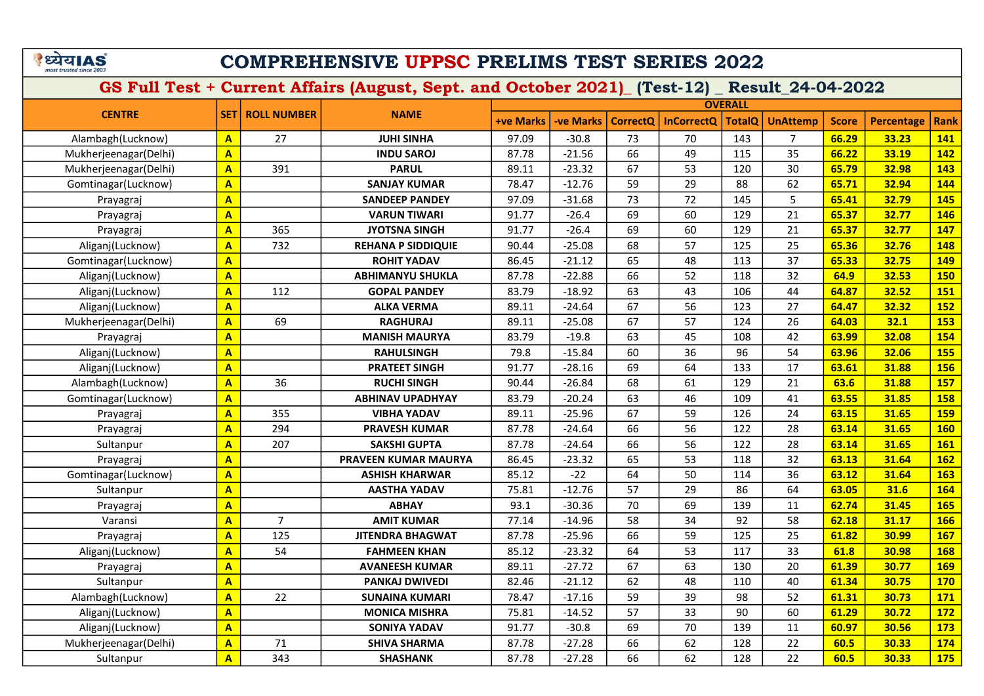# COMPREHENSIVE UPPSC PRELIMS TEST SERIES 2022

|                       |                         |                    |                           |                  |                  |                 |                   | <b>OVERALL</b> |                 |              |                   |             |
|-----------------------|-------------------------|--------------------|---------------------------|------------------|------------------|-----------------|-------------------|----------------|-----------------|--------------|-------------------|-------------|
| <b>CENTRE</b>         | <b>SET</b>              | <b>ROLL NUMBER</b> | <b>NAME</b>               | <b>+ve Marks</b> | <b>-ve Marks</b> | <b>CorrectQ</b> | <b>InCorrectQ</b> | <b>TotalQ</b>  | <b>UnAttemp</b> | <b>Score</b> | <b>Percentage</b> | <b>Rank</b> |
| Alambagh(Lucknow)     | $\mathbf{A}$            | 27                 | <b>JUHI SINHA</b>         | 97.09            | $-30.8$          | 73              | 70                | 143            | $\overline{7}$  | 66.29        | 33.23             | 141         |
| Mukherjeenagar(Delhi) | $\mathbf{A}$            |                    | <b>INDU SAROJ</b>         | 87.78            | $-21.56$         | 66              | 49                | 115            | 35              | 66.22        | 33.19             | 142         |
| Mukherjeenagar(Delhi) | $\mathbf{A}$            | 391                | <b>PARUL</b>              | 89.11            | $-23.32$         | 67              | 53                | 120            | 30              | 65.79        | 32.98             | 143         |
| Gomtinagar(Lucknow)   | $\mathbf{A}$            |                    | <b>SANJAY KUMAR</b>       | 78.47            | $-12.76$         | 59              | 29                | 88             | 62              | 65.71        | 32.94             | 144         |
| Prayagraj             | $\overline{\mathbf{A}}$ |                    | <b>SANDEEP PANDEY</b>     | 97.09            | $-31.68$         | 73              | 72                | 145            | 5               | 65.41        | 32.79             | 145         |
| Prayagraj             | $\mathbf{A}$            |                    | <b>VARUN TIWARI</b>       | 91.77            | $-26.4$          | 69              | 60                | 129            | 21              | 65.37        | 32.77             | 146         |
| Prayagraj             | $\mathbf{A}$            | 365                | <b>JYOTSNA SINGH</b>      | 91.77            | $-26.4$          | 69              | 60                | 129            | 21              | 65.37        | 32.77             | 147         |
| Aliganj(Lucknow)      | $\mathbf{A}$            | 732                | <b>REHANA P SIDDIQUIE</b> | 90.44            | $-25.08$         | 68              | 57                | 125            | 25              | 65.36        | 32.76             | 148         |
| Gomtinagar(Lucknow)   | $\overline{\mathbf{A}}$ |                    | <b>ROHIT YADAV</b>        | 86.45            | $-21.12$         | 65              | 48                | 113            | 37              | 65.33        | 32.75             | 149         |
| Aliganj(Lucknow)      | $\mathbf{A}$            |                    | <b>ABHIMANYU SHUKLA</b>   | 87.78            | $-22.88$         | 66              | 52                | 118            | 32              | 64.9         | 32.53             | <b>150</b>  |
| Aliganj(Lucknow)      | $\overline{A}$          | 112                | <b>GOPAL PANDEY</b>       | 83.79            | $-18.92$         | 63              | 43                | 106            | 44              | 64.87        | 32.52             | 151         |
| Aliganj(Lucknow)      | $\overline{\mathbf{A}}$ |                    | <b>ALKA VERMA</b>         | 89.11            | $-24.64$         | 67              | 56                | 123            | 27              | 64.47        | 32.32             | 152         |
| Mukherjeenagar(Delhi) | $\overline{\mathbf{A}}$ | 69                 | <b>RAGHURAJ</b>           | 89.11            | $-25.08$         | 67              | 57                | 124            | 26              | 64.03        | 32.1              | <b>153</b>  |
| Prayagraj             | $\mathbf{A}$            |                    | <b>MANISH MAURYA</b>      | 83.79            | $-19.8$          | 63              | 45                | 108            | 42              | 63.99        | 32.08             | 154         |
| Aliganj(Lucknow)      | $\overline{\mathbf{A}}$ |                    | <b>RAHULSINGH</b>         | 79.8             | $-15.84$         | 60              | 36                | 96             | 54              | 63.96        | 32.06             | <b>155</b>  |
| Aliganj(Lucknow)      | $\mathbf{A}$            |                    | <b>PRATEET SINGH</b>      | 91.77            | $-28.16$         | 69              | 64                | 133            | 17              | 63.61        | 31.88             | <b>156</b>  |
| Alambagh(Lucknow)     | $\overline{A}$          | 36                 | <b>RUCHI SINGH</b>        | 90.44            | $-26.84$         | 68              | 61                | 129            | 21              | 63.6         | 31.88             | <b>157</b>  |
| Gomtinagar(Lucknow)   | $\mathbf{A}$            |                    | <b>ABHINAV UPADHYAY</b>   | 83.79            | $-20.24$         | 63              | 46                | 109            | 41              | 63.55        | 31.85             | <b>158</b>  |
| Prayagraj             | $\mathbf{A}$            | 355                | <b>VIBHA YADAV</b>        | 89.11            | $-25.96$         | 67              | 59                | 126            | 24              | 63.15        | 31.65             | <b>159</b>  |
| Prayagraj             | $\overline{A}$          | 294                | <b>PRAVESH KUMAR</b>      | 87.78            | $-24.64$         | 66              | 56                | 122            | 28              | 63.14        | 31.65             | <b>160</b>  |
| Sultanpur             | $\mathbf{A}$            | 207                | <b>SAKSHI GUPTA</b>       | 87.78            | $-24.64$         | 66              | 56                | 122            | 28              | 63.14        | 31.65             | <b>161</b>  |
| Prayagraj             | $\overline{\mathbf{A}}$ |                    | PRAVEEN KUMAR MAURYA      | 86.45            | $-23.32$         | 65              | 53                | 118            | 32              | 63.13        | 31.64             | 162         |
| Gomtinagar(Lucknow)   | $\mathbf{A}$            |                    | <b>ASHISH KHARWAR</b>     | 85.12            | $-22$            | 64              | 50                | 114            | 36              | 63.12        | 31.64             | 163         |
| Sultanpur             | $\overline{\mathbf{A}}$ |                    | <b>AASTHA YADAV</b>       | 75.81            | $-12.76$         | 57              | 29                | 86             | 64              | 63.05        | 31.6              | 164         |
| Prayagraj             | $\overline{\mathbf{A}}$ |                    | <b>ABHAY</b>              | 93.1             | $-30.36$         | 70              | 69                | 139            | 11              | 62.74        | 31.45             | <b>165</b>  |
| Varansi               | $\overline{\mathbf{A}}$ | $\overline{7}$     | <b>AMIT KUMAR</b>         | 77.14            | $-14.96$         | 58              | 34                | 92             | 58              | 62.18        | 31.17             | 166         |
| Prayagraj             | $\mathbf{A}$            | 125                | <b>JITENDRA BHAGWAT</b>   | 87.78            | $-25.96$         | 66              | 59                | 125            | 25              | 61.82        | 30.99             | <b>167</b>  |
| Aliganj(Lucknow)      | $\overline{A}$          | 54                 | <b>FAHMEEN KHAN</b>       | 85.12            | $-23.32$         | 64              | 53                | 117            | 33              | 61.8         | 30.98             | <b>168</b>  |
| Prayagraj             | $\overline{\mathbf{A}}$ |                    | <b>AVANEESH KUMAR</b>     | 89.11            | $-27.72$         | 67              | 63                | 130            | 20              | 61.39        | 30.77             | <b>169</b>  |
| Sultanpur             | $\mathbf{A}$            |                    | <b>PANKAJ DWIVEDI</b>     | 82.46            | $-21.12$         | 62              | 48                | 110            | 40              | 61.34        | 30.75             | <b>170</b>  |
| Alambagh(Lucknow)     | $\overline{\mathbf{A}}$ | 22                 | <b>SUNAINA KUMARI</b>     | 78.47            | $-17.16$         | 59              | 39                | 98             | 52              | 61.31        | 30.73             | 171         |
| Aliganj(Lucknow)      | $\mathbf{A}$            |                    | <b>MONICA MISHRA</b>      | 75.81            | $-14.52$         | 57              | 33                | 90             | 60              | 61.29        | 30.72             | 172         |
| Aliganj(Lucknow)      | $\overline{\mathbf{A}}$ |                    | <b>SONIYA YADAV</b>       | 91.77            | $-30.8$          | 69              | 70                | 139            | 11              | 60.97        | 30.56             | 173         |
| Mukherjeenagar(Delhi) | $\overline{\mathbf{A}}$ | 71                 | <b>SHIVA SHARMA</b>       | 87.78            | $-27.28$         | 66              | 62                | 128            | 22              | 60.5         | 30.33             | 174         |
| Sultanpur             | $\overline{\mathbf{A}}$ | 343                | <b>SHASHANK</b>           | 87.78            | $-27.28$         | 66              | 62                | 128            | 22              | 60.5         | 30.33             | 175         |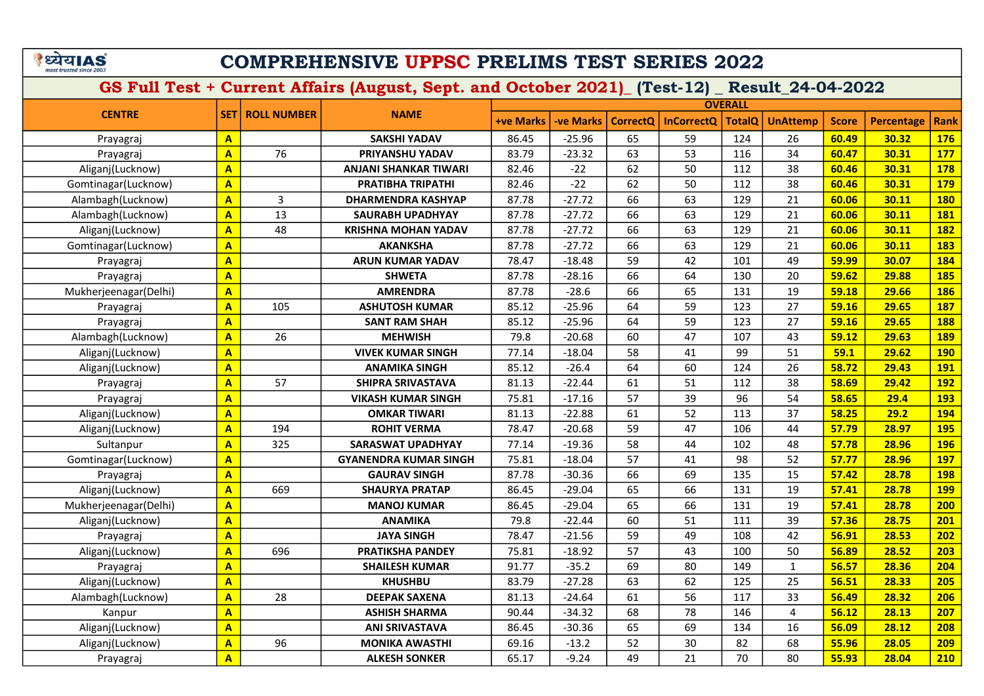### COMPREHENSIVE UPPSC PRELIMS TEST SERIES 2022

|                       |                         |                    |                              |                  |                  |                 |                   | <b>OVERALL</b> |                 |              |                   |             |
|-----------------------|-------------------------|--------------------|------------------------------|------------------|------------------|-----------------|-------------------|----------------|-----------------|--------------|-------------------|-------------|
| <b>CENTRE</b>         | <b>SET</b>              | <b>ROLL NUMBER</b> | <b>NAME</b>                  | <b>+ve Marks</b> | <b>-ve Marks</b> | <b>CorrectQ</b> | <b>InCorrectQ</b> | <b>TotalQ</b>  | <b>UnAttemp</b> | <b>Score</b> | <b>Percentage</b> | <b>Rank</b> |
| Prayagraj             | $\mathbf{A}$            |                    | <b>SAKSHI YADAV</b>          | 86.45            | $-25.96$         | 65              | 59                | 124            | 26              | 60.49        | 30.32             | <b>176</b>  |
| Prayagraj             | $\mathbf{A}$            | 76                 | PRIYANSHU YADAV              | 83.79            | $-23.32$         | 63              | 53                | 116            | 34              | 60.47        | 30.31             | <b>177</b>  |
| Aliganj(Lucknow)      | $\overline{A}$          |                    | ANJANI SHANKAR TIWARI        | 82.46            | $-22$            | 62              | 50                | 112            | 38              | 60.46        | 30.31             | <b>178</b>  |
| Gomtinagar(Lucknow)   | $\overline{\mathbf{A}}$ |                    | PRATIBHA TRIPATHI            | 82.46            | $-22$            | 62              | 50                | 112            | 38              | 60.46        | 30.31             | <b>179</b>  |
| Alambagh(Lucknow)     | $\overline{A}$          | 3                  | <b>DHARMENDRA KASHYAP</b>    | 87.78            | $-27.72$         | 66              | 63                | 129            | 21              | 60.06        | 30.11             | <b>180</b>  |
| Alambagh(Lucknow)     | $\overline{A}$          | 13                 | SAURABH UPADHYAY             | 87.78            | $-27.72$         | 66              | 63                | 129            | 21              | 60.06        | 30.11             | 181         |
| Aliganj(Lucknow)      | $\overline{A}$          | 48                 | KRISHNA MOHAN YADAV          | 87.78            | $-27.72$         | 66              | 63                | 129            | 21              | 60.06        | 30.11             | <b>182</b>  |
| Gomtinagar(Lucknow)   | $\overline{A}$          |                    | <b>AKANKSHA</b>              | 87.78            | $-27.72$         | 66              | 63                | 129            | 21              | 60.06        | 30.11             | 183         |
| Prayagraj             | $\overline{\mathbf{A}}$ |                    | <b>ARUN KUMAR YADAV</b>      | 78.47            | $-18.48$         | 59              | 42                | 101            | 49              | 59.99        | 30.07             | 184         |
| Prayagraj             | $\overline{A}$          |                    | <b>SHWETA</b>                | 87.78            | $-28.16$         | 66              | 64                | 130            | 20              | 59.62        | 29.88             | <b>185</b>  |
| Mukherjeenagar(Delhi) | $\overline{\mathbf{A}}$ |                    | <b>AMRENDRA</b>              | 87.78            | $-28.6$          | 66              | 65                | 131            | 19              | 59.18        | 29.66             | <b>186</b>  |
| Prayagraj             | $\overline{A}$          | 105                | <b>ASHUTOSH KUMAR</b>        | 85.12            | $-25.96$         | 64              | 59                | 123            | 27              | 59.16        | 29.65             | <b>187</b>  |
| Prayagraj             | $\overline{A}$          |                    | <b>SANT RAM SHAH</b>         | 85.12            | $-25.96$         | 64              | 59                | 123            | 27              | 59.16        | 29.65             | 188         |
| Alambagh(Lucknow)     | $\overline{\mathbf{A}}$ | 26                 | <b>MEHWISH</b>               | 79.8             | $-20.68$         | 60              | 47                | 107            | 43              | 59.12        | 29.63             | <b>189</b>  |
| Aliganj(Lucknow)      | $\overline{A}$          |                    | <b>VIVEK KUMAR SINGH</b>     | 77.14            | $-18.04$         | 58              | 41                | 99             | 51              | 59.1         | 29.62             | <b>190</b>  |
| Aliganj(Lucknow)      | $\mathbf{A}$            |                    | <b>ANAMIKA SINGH</b>         | 85.12            | $-26.4$          | 64              | 60                | 124            | 26              | 58.72        | 29.43             | <b>191</b>  |
| Prayagraj             | $\overline{A}$          | 57                 | <b>SHIPRA SRIVASTAVA</b>     | 81.13            | $-22.44$         | 61              | 51                | 112            | 38              | 58.69        | 29.42             | <b>192</b>  |
| Prayagraj             | $\overline{A}$          |                    | <b>VIKASH KUMAR SINGH</b>    | 75.81            | $-17.16$         | 57              | 39                | 96             | 54              | 58.65        | 29.4              | <b>193</b>  |
| Aliganj(Lucknow)      | $\mathbf{A}$            |                    | <b>OMKAR TIWARI</b>          | 81.13            | $-22.88$         | 61              | 52                | 113            | 37              | 58.25        | 29.2              | <b>194</b>  |
| Aliganj(Lucknow)      | $\overline{\mathbf{A}}$ | 194                | <b>ROHIT VERMA</b>           | 78.47            | $-20.68$         | 59              | 47                | 106            | 44              | 57.79        | 28.97             | 195         |
| Sultanpur             | $\overline{\mathbf{A}}$ | 325                | <b>SARASWAT UPADHYAY</b>     | 77.14            | $-19.36$         | 58              | 44                | 102            | 48              | 57.78        | 28.96             | <b>196</b>  |
| Gomtinagar(Lucknow)   | $\overline{A}$          |                    | <b>GYANENDRA KUMAR SINGH</b> | 75.81            | $-18.04$         | 57              | 41                | 98             | 52              | 57.77        | 28.96             | <b>197</b>  |
| Prayagraj             | $\overline{\mathbf{A}}$ |                    | <b>GAURAV SINGH</b>          | 87.78            | $-30.36$         | 66              | 69                | 135            | 15              | 57.42        | 28.78             | <b>198</b>  |
| Aliganj(Lucknow)      | $\overline{A}$          | 669                | <b>SHAURYA PRATAP</b>        | 86.45            | $-29.04$         | 65              | 66                | 131            | 19              | 57.41        | 28.78             | <b>199</b>  |
| Mukherjeenagar(Delhi) | $\overline{\mathbf{A}}$ |                    | <b>MANOJ KUMAR</b>           | 86.45            | $-29.04$         | 65              | 66                | 131            | 19              | 57.41        | 28.78             | 200         |
| Aliganj(Lucknow)      | $\overline{\mathbf{A}}$ |                    | <b>ANAMIKA</b>               | 79.8             | $-22.44$         | 60              | 51                | 111            | 39              | 57.36        | 28.75             | 201         |
| Prayagraj             | $\overline{\mathbf{A}}$ |                    | <b>JAYA SINGH</b>            | 78.47            | $-21.56$         | 59              | 49                | 108            | 42              | 56.91        | 28.53             | 202         |
| Aliganj(Lucknow)      | $\overline{\mathbf{A}}$ | 696                | <b>PRATIKSHA PANDEY</b>      | 75.81            | $-18.92$         | 57              | 43                | 100            | 50              | 56.89        | 28.52             | 203         |
| Prayagraj             | $\overline{\mathbf{A}}$ |                    | <b>SHAILESH KUMAR</b>        | 91.77            | $-35.2$          | 69              | 80                | 149            | $\mathbf{1}$    | 56.57        | 28.36             | 204         |
| Aliganj(Lucknow)      | $\overline{\mathbf{A}}$ |                    | <b>KHUSHBU</b>               | 83.79            | $-27.28$         | 63              | 62                | 125            | 25              | 56.51        | 28.33             | 205         |
| Alambagh(Lucknow)     | $\overline{\mathbf{A}}$ | 28                 | <b>DEEPAK SAXENA</b>         | 81.13            | $-24.64$         | 61              | 56                | 117            | 33              | 56.49        | 28.32             | 206         |
| Kanpur                | $\mathbf{A}$            |                    | <b>ASHISH SHARMA</b>         | 90.44            | $-34.32$         | 68              | 78                | 146            | 4               | 56.12        | 28.13             | 207         |
| Aliganj(Lucknow)      | $\overline{\mathbf{A}}$ |                    | <b>ANI SRIVASTAVA</b>        | 86.45            | $-30.36$         | 65              | 69                | 134            | 16              | 56.09        | 28.12             | 208         |
| Aliganj(Lucknow)      | $\overline{\mathbf{A}}$ | 96                 | <b>MONIKA AWASTHI</b>        | 69.16            | $-13.2$          | 52              | 30                | 82             | 68              | 55.96        | 28.05             | 209         |
| Prayagraj             | $\overline{\mathbf{A}}$ |                    | <b>ALKESH SONKER</b>         | 65.17            | $-9.24$          | 49              | 21                | 70             | 80              | 55.93        | 28.04             | 210         |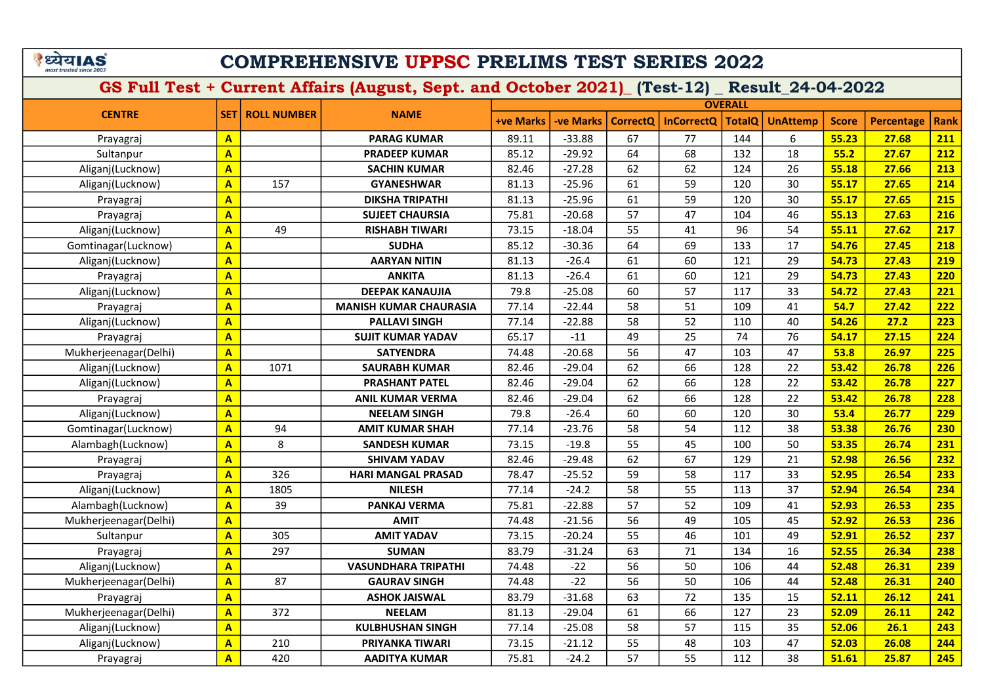# COMPREHENSIVE UPPSC PRELIMS TEST SERIES 2022

|                       |                         |                    |                               |                  |                 |                 |                   | <b>OVERALL</b> |                 |              |                   |             |
|-----------------------|-------------------------|--------------------|-------------------------------|------------------|-----------------|-----------------|-------------------|----------------|-----------------|--------------|-------------------|-------------|
| <b>CENTRE</b>         | <b>SET</b>              | <b>ROLL NUMBER</b> | <b>NAME</b>                   | <b>+ve Marks</b> | <b>ve Marks</b> | <b>CorrectO</b> | <b>InCorrectQ</b> | <b>TotalQ</b>  | <b>UnAttemp</b> | <b>Score</b> | <b>Percentage</b> | <b>Rank</b> |
| Prayagraj             | $\overline{\mathbf{A}}$ |                    | <b>PARAG KUMAR</b>            | 89.11            | $-33.88$        | 67              | 77                | 144            | 6               | 55.23        | 27.68             | 211         |
| Sultanpur             | $\overline{\mathbf{A}}$ |                    | <b>PRADEEP KUMAR</b>          | 85.12            | $-29.92$        | 64              | 68                | 132            | 18              | 55.2         | 27.67             | 212         |
| Aliganj(Lucknow)      | $\overline{\mathbf{A}}$ |                    | <b>SACHIN KUMAR</b>           | 82.46            | $-27.28$        | 62              | 62                | 124            | 26              | 55.18        | 27.66             | 213         |
| Aliganj(Lucknow)      | $\overline{\mathbf{A}}$ | 157                | <b>GYANESHWAR</b>             | 81.13            | $-25.96$        | 61              | 59                | 120            | 30              | 55.17        | 27.65             | 214         |
| Prayagraj             | $\overline{\mathbf{A}}$ |                    | <b>DIKSHA TRIPATHI</b>        | 81.13            | $-25.96$        | 61              | 59                | 120            | 30              | 55.17        | 27.65             | 215         |
| Prayagraj             | $\overline{\mathbf{A}}$ |                    | <b>SUJEET CHAURSIA</b>        | 75.81            | $-20.68$        | 57              | 47                | 104            | 46              | 55.13        | 27.63             | 216         |
| Aliganj(Lucknow)      | $\overline{\mathbf{A}}$ | 49                 | <b>RISHABH TIWARI</b>         | 73.15            | $-18.04$        | 55              | 41                | 96             | 54              | 55.11        | 27.62             | 217         |
| Gomtinagar(Lucknow)   | $\overline{\mathbf{A}}$ |                    | <b>SUDHA</b>                  | 85.12            | $-30.36$        | 64              | 69                | 133            | 17              | 54.76        | 27.45             | 218         |
| Aliganj(Lucknow)      | $\overline{\mathbf{A}}$ |                    | <b>AARYAN NITIN</b>           | 81.13            | $-26.4$         | 61              | 60                | 121            | 29              | 54.73        | 27.43             | 219         |
| Prayagraj             | $\overline{\mathbf{A}}$ |                    | <b>ANKITA</b>                 | 81.13            | $-26.4$         | 61              | 60                | 121            | 29              | 54.73        | 27.43             | 220         |
| Aliganj(Lucknow)      | $\overline{A}$          |                    | <b>DEEPAK KANAUJIA</b>        | 79.8             | $-25.08$        | 60              | 57                | 117            | 33              | 54.72        | 27.43             | 221         |
| Prayagraj             | $\overline{\mathbf{A}}$ |                    | <b>MANISH KUMAR CHAURASIA</b> | 77.14            | $-22.44$        | 58              | 51                | 109            | 41              | 54.7         | 27.42             | 222         |
| Aliganj(Lucknow)      | $\overline{\mathbf{A}}$ |                    | <b>PALLAVI SINGH</b>          | 77.14            | $-22.88$        | 58              | 52                | 110            | 40              | 54.26        | 27.2              | 223         |
| Prayagraj             | $\mathbf{A}$            |                    | <b>SUJIT KUMAR YADAV</b>      | 65.17            | $-11$           | 49              | 25                | 74             | 76              | 54.17        | 27.15             | 224         |
| Mukherjeenagar(Delhi) | $\overline{\mathbf{A}}$ |                    | <b>SATYENDRA</b>              | 74.48            | $-20.68$        | 56              | 47                | 103            | 47              | 53.8         | 26.97             | 225         |
| Aliganj(Lucknow)      | $\overline{\mathbf{A}}$ | 1071               | <b>SAURABH KUMAR</b>          | 82.46            | $-29.04$        | 62              | 66                | 128            | 22              | 53.42        | 26.78             | 226         |
| Aliganj(Lucknow)      | A                       |                    | <b>PRASHANT PATEL</b>         | 82.46            | $-29.04$        | 62              | 66                | 128            | 22              | 53.42        | 26.78             | 227         |
| Prayagraj             | $\overline{A}$          |                    | <b>ANIL KUMAR VERMA</b>       | 82.46            | $-29.04$        | 62              | 66                | 128            | 22              | 53.42        | 26.78             | 228         |
| Aliganj(Lucknow)      | $\overline{\mathbf{A}}$ |                    | <b>NEELAM SINGH</b>           | 79.8             | $-26.4$         | 60              | 60                | 120            | 30              | 53.4         | 26.77             | 229         |
| Gomtinagar(Lucknow)   | A                       | 94                 | <b>AMIT KUMAR SHAH</b>        | 77.14            | $-23.76$        | 58              | 54                | 112            | 38              | 53.38        | 26.76             | 230         |
| Alambagh(Lucknow)     | A                       | 8                  | <b>SANDESH KUMAR</b>          | 73.15            | $-19.8$         | 55              | 45                | 100            | 50              | 53.35        | 26.74             | 231         |
| Prayagraj             | $\overline{\mathsf{A}}$ |                    | <b>SHIVAM YADAV</b>           | 82.46            | $-29.48$        | 62              | 67                | 129            | 21              | 52.98        | 26.56             | 232         |
| Prayagraj             | A                       | 326                | <b>HARI MANGAL PRASAD</b>     | 78.47            | $-25.52$        | 59              | 58                | 117            | 33              | 52.95        | 26.54             | 233         |
| Aliganj(Lucknow)      | $\overline{\mathbf{A}}$ | 1805               | <b>NILESH</b>                 | 77.14            | $-24.2$         | 58              | 55                | 113            | 37              | 52.94        | 26.54             | 234         |
| Alambagh(Lucknow)     | $\overline{\mathsf{A}}$ | 39                 | <b>PANKAJ VERMA</b>           | 75.81            | $-22.88$        | 57              | 52                | 109            | 41              | 52.93        | 26.53             | 235         |
| Mukherjeenagar(Delhi) | $\overline{\mathsf{A}}$ |                    | <b>AMIT</b>                   | 74.48            | $-21.56$        | 56              | 49                | 105            | 45              | 52.92        | 26.53             | 236         |
| Sultanpur             | $\overline{\mathbf{A}}$ | 305                | <b>AMIT YADAV</b>             | 73.15            | $-20.24$        | 55              | 46                | 101            | 49              | 52.91        | 26.52             | 237         |
| Prayagraj             | $\overline{\mathbf{A}}$ | 297                | <b>SUMAN</b>                  | 83.79            | $-31.24$        | 63              | 71                | 134            | 16              | 52.55        | 26.34             | 238         |
| Aliganj(Lucknow)      | $\overline{\mathbf{A}}$ |                    | <b>VASUNDHARA TRIPATHI</b>    | 74.48            | $-22$           | 56              | 50                | 106            | 44              | 52.48        | 26.31             | 239         |
| Mukherjeenagar(Delhi) | $\overline{\mathbf{A}}$ | 87                 | <b>GAURAV SINGH</b>           | 74.48            | $-22$           | 56              | 50                | 106            | 44              | 52.48        | 26.31             | 240         |
| Prayagraj             | $\mathbf{A}$            |                    | <b>ASHOK JAISWAL</b>          | 83.79            | $-31.68$        | 63              | 72                | 135            | 15              | 52.11        | 26.12             | 241         |
| Mukherjeenagar(Delhi) | $\overline{\mathbf{A}}$ | 372                | <b>NEELAM</b>                 | 81.13            | $-29.04$        | 61              | 66                | 127            | 23              | 52.09        | 26.11             | 242         |
| Aliganj(Lucknow)      | $\mathbf{A}$            |                    | <b>KULBHUSHAN SINGH</b>       | 77.14            | $-25.08$        | 58              | 57                | 115            | 35              | 52.06        | 26.1              | 243         |
| Aliganj(Lucknow)      | $\overline{\mathsf{A}}$ | 210                | PRIYANKA TIWARI               | 73.15            | $-21.12$        | 55              | 48                | 103            | 47              | 52.03        | 26.08             | 244         |
| Prayagraj             | $\overline{\mathsf{A}}$ | 420                | <b>AADITYA KUMAR</b>          | 75.81            | $-24.2$         | 57              | 55                | 112            | 38              | 51.61        | 25.87             | 245         |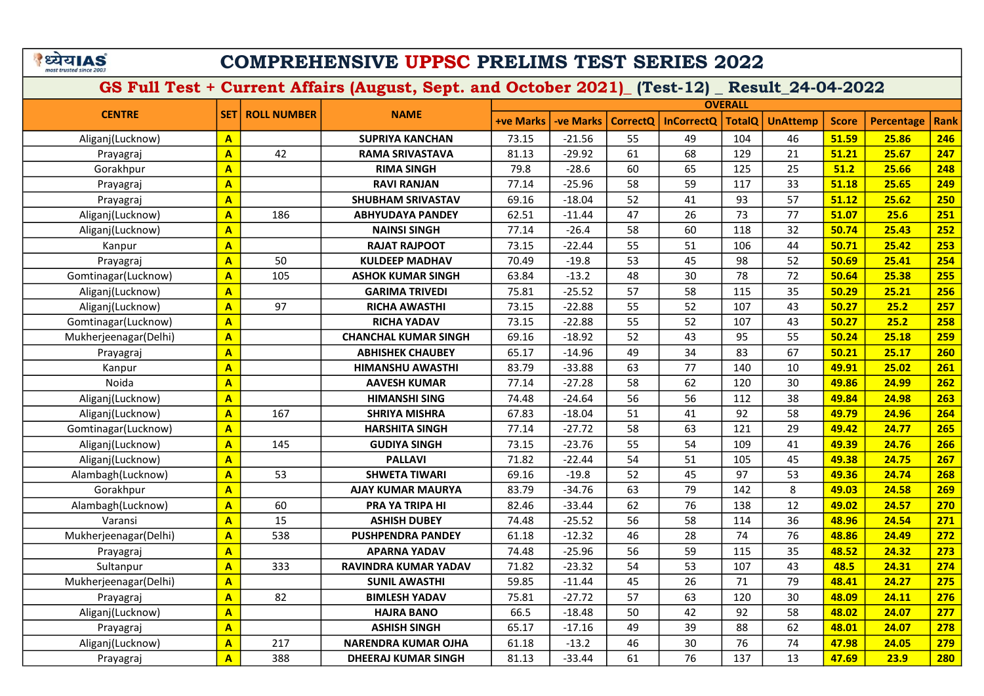# COMPREHENSIVE UPPSC PRELIMS TEST SERIES 2022

|                       |                         |                    |                             |                  |                  |                 |                   | <b>OVERALL</b> |                 |              |                   |             |
|-----------------------|-------------------------|--------------------|-----------------------------|------------------|------------------|-----------------|-------------------|----------------|-----------------|--------------|-------------------|-------------|
| <b>CENTRE</b>         | <b>SET</b>              | <b>ROLL NUMBER</b> | <b>NAME</b>                 | <b>+ve Marks</b> | <b>-ve Marks</b> | <b>CorrectO</b> | <b>InCorrectQ</b> | <b>TotalQ</b>  | <b>UnAttemp</b> | <b>Score</b> | <b>Percentage</b> | <b>Rank</b> |
| Aliganj(Lucknow)      | $\mathbf{A}$            |                    | <b>SUPRIYA KANCHAN</b>      | 73.15            | $-21.56$         | 55              | 49                | 104            | 46              | 51.59        | 25.86             | 246         |
| Prayagraj             | $\mathbf{A}$            | 42                 | <b>RAMA SRIVASTAVA</b>      | 81.13            | $-29.92$         | 61              | 68                | 129            | 21              | 51.21        | 25.67             | 247         |
| Gorakhpur             | $\overline{\mathbf{A}}$ |                    | <b>RIMA SINGH</b>           | 79.8             | $-28.6$          | 60              | 65                | 125            | 25              | 51.2         | 25.66             | 248         |
| Prayagraj             | $\overline{\mathbf{A}}$ |                    | <b>RAVI RANJAN</b>          | 77.14            | $-25.96$         | 58              | 59                | 117            | 33              | 51.18        | 25.65             | 249         |
| Prayagraj             | $\overline{\mathbf{A}}$ |                    | <b>SHUBHAM SRIVASTAV</b>    | 69.16            | $-18.04$         | 52              | 41                | 93             | 57              | 51.12        | 25.62             | 250         |
| Aliganj(Lucknow)      | $\mathbf{A}$            | 186                | <b>ABHYUDAYA PANDEY</b>     | 62.51            | $-11.44$         | 47              | 26                | 73             | 77              | 51.07        | 25.6              | 251         |
| Aliganj(Lucknow)      | $\mathbf{A}$            |                    | <b>NAINSI SINGH</b>         | 77.14            | $-26.4$          | 58              | 60                | 118            | 32              | 50.74        | 25.43             | 252         |
| Kanpur                | $\overline{\mathbf{A}}$ |                    | <b>RAJAT RAJPOOT</b>        | 73.15            | $-22.44$         | 55              | 51                | 106            | 44              | 50.71        | 25.42             | 253         |
| Prayagraj             | $\overline{\mathbf{A}}$ | 50                 | <b>KULDEEP MADHAV</b>       | 70.49            | $-19.8$          | 53              | 45                | 98             | 52              | 50.69        | 25.41             | 254         |
| Gomtinagar(Lucknow)   | $\overline{\mathbf{A}}$ | 105                | <b>ASHOK KUMAR SINGH</b>    | 63.84            | $-13.2$          | 48              | 30                | 78             | 72              | 50.64        | 25.38             | 255         |
| Aliganj(Lucknow)      | $\mathbf{A}$            |                    | <b>GARIMA TRIVEDI</b>       | 75.81            | $-25.52$         | 57              | 58                | 115            | 35              | 50.29        | 25.21             | 256         |
| Aliganj(Lucknow)      | $\overline{\mathbf{A}}$ | 97                 | <b>RICHA AWASTHI</b>        | 73.15            | $-22.88$         | 55              | 52                | 107            | 43              | 50.27        | 25.2              | 257         |
| Gomtinagar(Lucknow)   | $\overline{\mathbf{A}}$ |                    | <b>RICHA YADAV</b>          | 73.15            | $-22.88$         | 55              | 52                | 107            | 43              | 50.27        | 25.2              | 258         |
| Mukherjeenagar(Delhi) | $\overline{\mathbf{A}}$ |                    | <b>CHANCHAL KUMAR SINGH</b> | 69.16            | $-18.92$         | 52              | 43                | 95             | 55              | 50.24        | 25.18             | 259         |
| Prayagraj             | $\overline{\mathbf{A}}$ |                    | <b>ABHISHEK CHAUBEY</b>     | 65.17            | $-14.96$         | 49              | 34                | 83             | 67              | 50.21        | 25.17             | 260         |
| Kanpur                | $\overline{A}$          |                    | <b>HIMANSHU AWASTHI</b>     | 83.79            | $-33.88$         | 63              | 77                | 140            | 10              | 49.91        | 25.02             | 261         |
| Noida                 | $\overline{\mathbf{A}}$ |                    | <b>AAVESH KUMAR</b>         | 77.14            | $-27.28$         | 58              | 62                | 120            | 30              | 49.86        | 24.99             | 262         |
| Aliganj(Lucknow)      | $\mathbf{A}$            |                    | <b>HIMANSHI SING</b>        | 74.48            | $-24.64$         | 56              | 56                | 112            | 38              | 49.84        | 24.98             | 263         |
| Aliganj(Lucknow)      | $\overline{A}$          | 167                | <b>SHRIYA MISHRA</b>        | 67.83            | $-18.04$         | 51              | 41                | 92             | 58              | 49.79        | 24.96             | 264         |
| Gomtinagar(Lucknow)   | $\overline{\mathbf{A}}$ |                    | <b>HARSHITA SINGH</b>       | 77.14            | $-27.72$         | 58              | 63                | 121            | 29              | 49.42        | 24.77             | 265         |
| Aliganj(Lucknow)      | $\overline{\mathbf{A}}$ | 145                | <b>GUDIYA SINGH</b>         | 73.15            | $-23.76$         | 55              | 54                | 109            | 41              | 49.39        | 24.76             | 266         |
| Aliganj(Lucknow)      | $\overline{\mathbf{A}}$ |                    | <b>PALLAVI</b>              | 71.82            | $-22.44$         | 54              | 51                | 105            | 45              | 49.38        | 24.75             | 267         |
| Alambagh(Lucknow)     | $\overline{\mathbf{A}}$ | 53                 | <b>SHWETA TIWARI</b>        | 69.16            | $-19.8$          | 52              | 45                | 97             | 53              | 49.36        | 24.74             | 268         |
| Gorakhpur             | $\overline{\mathbf{A}}$ |                    | <b>AJAY KUMAR MAURYA</b>    | 83.79            | $-34.76$         | 63              | 79                | 142            | 8               | 49.03        | 24.58             | 269         |
| Alambagh(Lucknow)     | $\overline{A}$          | 60                 | PRA YA TRIPA HI             | 82.46            | $-33.44$         | 62              | 76                | 138            | 12              | 49.02        | 24.57             | 270         |
| Varansi               | $\overline{A}$          | 15                 | <b>ASHISH DUBEY</b>         | 74.48            | $-25.52$         | 56              | 58                | 114            | 36              | 48.96        | 24.54             | 271         |
| Mukherjeenagar(Delhi) | $\overline{\mathbf{A}}$ | 538                | <b>PUSHPENDRA PANDEY</b>    | 61.18            | $-12.32$         | 46              | 28                | 74             | 76              | 48.86        | 24.49             | 272         |
| Prayagraj             | $\overline{\mathbf{A}}$ |                    | <b>APARNA YADAV</b>         | 74.48            | $-25.96$         | 56              | 59                | 115            | 35              | 48.52        | 24.32             | 273         |
| Sultanpur             | $\overline{\mathbf{A}}$ | 333                | <b>RAVINDRA KUMAR YADAV</b> | 71.82            | $-23.32$         | 54              | 53                | 107            | 43              | 48.5         | 24.31             | 274         |
| Mukherjeenagar(Delhi) | $\overline{\mathsf{A}}$ |                    | <b>SUNIL AWASTHI</b>        | 59.85            | $-11.44$         | 45              | 26                | 71             | 79              | 48.41        | 24.27             | 275         |
| Prayagraj             | $\overline{\mathbf{A}}$ | 82                 | <b>BIMLESH YADAV</b>        | 75.81            | $-27.72$         | 57              | 63                | 120            | 30              | 48.09        | 24.11             | 276         |
| Aliganj(Lucknow)      | $\overline{\mathsf{A}}$ |                    | <b>HAJRA BANO</b>           | 66.5             | $-18.48$         | 50              | 42                | 92             | 58              | 48.02        | 24.07             | 277         |
| Prayagraj             | $\mathbf{A}$            |                    | <b>ASHISH SINGH</b>         | 65.17            | $-17.16$         | 49              | 39                | 88             | 62              | 48.01        | 24.07             | 278         |
| Aliganj(Lucknow)      | $\overline{\mathbf{A}}$ | 217                | <b>NARENDRA KUMAR OJHA</b>  | 61.18            | $-13.2$          | 46              | 30                | 76             | 74              | 47.98        | 24.05             | 279         |
| Prayagraj             | $\overline{\mathsf{A}}$ | 388                | <b>DHEERAJ KUMAR SINGH</b>  | 81.13            | $-33.44$         | 61              | 76                | 137            | 13              | 47.69        | 23.9              | 280         |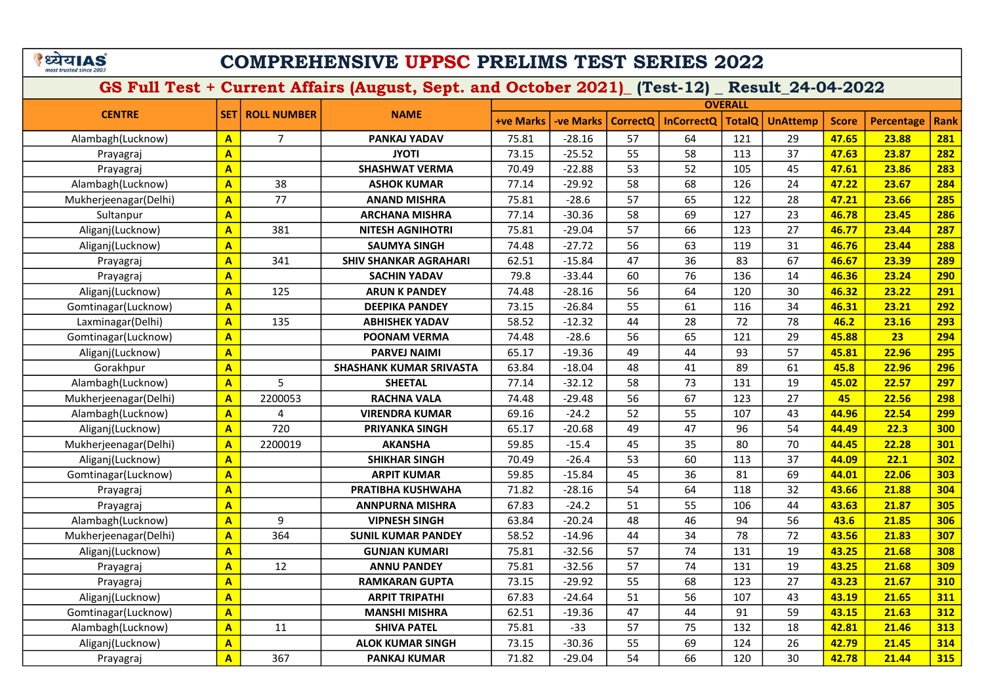# COMPREHENSIVE UPPSC PRELIMS TEST SERIES 2022

|                       |                         |                    |                                |                  |                  |                 |                   | <b>OVERALL</b> |                 |              |                   |             |
|-----------------------|-------------------------|--------------------|--------------------------------|------------------|------------------|-----------------|-------------------|----------------|-----------------|--------------|-------------------|-------------|
| <b>CENTRE</b>         | <b>SET</b>              | <b>ROLL NUMBER</b> | <b>NAME</b>                    | <b>+ve Marks</b> | <b>-ve Marks</b> | <b>CorrectO</b> | <b>InCorrectQ</b> | <b>TotalQ</b>  | <b>UnAttemp</b> | <b>Score</b> | <b>Percentage</b> | <b>Rank</b> |
| Alambagh(Lucknow)     | $\mathbf{A}$            | $\overline{7}$     | PANKAJ YADAV                   | 75.81            | $-28.16$         | 57              | 64                | 121            | 29              | 47.65        | 23.88             | 281         |
| Prayagraj             | $\overline{A}$          |                    | <b>JYOTI</b>                   | 73.15            | $-25.52$         | 55              | 58                | 113            | 37              | 47.63        | 23.87             | 282         |
| Prayagraj             | $\overline{\mathsf{A}}$ |                    | <b>SHASHWAT VERMA</b>          | 70.49            | $-22.88$         | 53              | 52                | 105            | 45              | 47.61        | 23.86             | 283         |
| Alambagh(Lucknow)     | $\overline{\mathbf{A}}$ | 38                 | <b>ASHOK KUMAR</b>             | 77.14            | $-29.92$         | 58              | 68                | 126            | 24              | 47.22        | 23.67             | 284         |
| Mukherjeenagar(Delhi) | $\overline{A}$          | 77                 | <b>ANAND MISHRA</b>            | 75.81            | $-28.6$          | 57              | 65                | 122            | 28              | 47.21        | 23.66             | 285         |
| Sultanpur             | $\overline{\mathbf{A}}$ |                    | <b>ARCHANA MISHRA</b>          | 77.14            | $-30.36$         | 58              | 69                | 127            | 23              | 46.78        | 23.45             | 286         |
| Aliganj(Lucknow)      | $\overline{\mathbf{A}}$ | 381                | <b>NITESH AGNIHOTRI</b>        | 75.81            | $-29.04$         | 57              | 66                | 123            | 27              | 46.77        | 23.44             | 287         |
| Aliganj(Lucknow)      | $\overline{\mathsf{A}}$ |                    | <b>SAUMYA SINGH</b>            | 74.48            | $-27.72$         | 56              | 63                | 119            | 31              | 46.76        | 23.44             | 288         |
| Prayagraj             | $\overline{A}$          | 341                | <b>SHIV SHANKAR AGRAHARI</b>   | 62.51            | $-15.84$         | 47              | 36                | 83             | 67              | 46.67        | 23.39             | 289         |
| Prayagraj             | $\overline{\mathbf{A}}$ |                    | <b>SACHIN YADAV</b>            | 79.8             | $-33.44$         | 60              | 76                | 136            | 14              | 46.36        | 23.24             | 290         |
| Aliganj(Lucknow)      | $\overline{\mathbf{A}}$ | 125                | <b>ARUN K PANDEY</b>           | 74.48            | $-28.16$         | 56              | 64                | 120            | 30              | 46.32        | 23.22             | 291         |
| Gomtinagar(Lucknow)   | $\overline{\mathbf{A}}$ |                    | <b>DEEPIKA PANDEY</b>          | 73.15            | $-26.84$         | 55              | 61                | 116            | 34              | 46.31        | 23.21             | 292         |
| Laxminagar(Delhi)     | $\overline{A}$          | 135                | <b>ABHISHEK YADAV</b>          | 58.52            | $-12.32$         | 44              | 28                | 72             | 78              | 46.2         | 23.16             | 293         |
| Gomtinagar(Lucknow)   | $\overline{A}$          |                    | <b>POONAM VERMA</b>            | 74.48            | $-28.6$          | 56              | 65                | 121            | 29              | 45.88        | 23                | 294         |
| Aliganj(Lucknow)      | $\overline{\mathbf{A}}$ |                    | <b>PARVEJ NAIMI</b>            | 65.17            | $-19.36$         | 49              | 44                | 93             | 57              | 45.81        | 22.96             | 295         |
| Gorakhpur             | $\overline{\mathbf{A}}$ |                    | <b>SHASHANK KUMAR SRIVASTA</b> | 63.84            | $-18.04$         | 48              | 41                | 89             | 61              | 45.8         | 22.96             | 296         |
| Alambagh(Lucknow)     | $\overline{\mathbf{A}}$ | 5                  | <b>SHEETAL</b>                 | 77.14            | $-32.12$         | 58              | 73                | 131            | 19              | 45.02        | 22.57             | 297         |
| Mukherjeenagar(Delhi) | $\overline{A}$          | 2200053            | <b>RACHNA VALA</b>             | 74.48            | $-29.48$         | 56              | 67                | 123            | 27              | 45           | 22.56             | 298         |
| Alambagh(Lucknow)     | $\overline{A}$          | 4                  | <b>VIRENDRA KUMAR</b>          | 69.16            | $-24.2$          | 52              | 55                | 107            | 43              | 44.96        | 22.54             | 299         |
| Aliganj(Lucknow)      | $\overline{\mathbf{A}}$ | 720                | <b>PRIYANKA SINGH</b>          | 65.17            | $-20.68$         | 49              | 47                | 96             | 54              | 44.49        | 22.3              | 300         |
| Mukherjeenagar(Delhi) | $\overline{\mathsf{A}}$ | 2200019            | <b>AKANSHA</b>                 | 59.85            | $-15.4$          | 45              | 35                | 80             | 70              | 44.45        | 22.28             | 301         |
| Aliganj(Lucknow)      | $\mathbf{A}$            |                    | <b>SHIKHAR SINGH</b>           | 70.49            | $-26.4$          | 53              | 60                | 113            | 37              | 44.09        | 22.1              | 302         |
| Gomtinagar(Lucknow)   | $\overline{\mathsf{A}}$ |                    | <b>ARPIT KUMAR</b>             | 59.85            | $-15.84$         | 45              | 36                | 81             | 69              | 44.01        | 22.06             | 303         |
| Prayagraj             | $\overline{\mathsf{A}}$ |                    | PRATIBHA KUSHWAHA              | 71.82            | $-28.16$         | 54              | 64                | 118            | 32              | 43.66        | 21.88             | 304         |
| Prayagraj             | $\overline{\mathbf{A}}$ |                    | <b>ANNPURNA MISHRA</b>         | 67.83            | $-24.2$          | 51              | 55                | 106            | 44              | 43.63        | 21.87             | 305         |
| Alambagh(Lucknow)     | $\overline{A}$          | 9                  | <b>VIPNESH SINGH</b>           | 63.84            | $-20.24$         | 48              | 46                | 94             | 56              | 43.6         | 21.85             | 306         |
| Mukherjeenagar(Delhi) | $\overline{\mathsf{A}}$ | 364                | <b>SUNIL KUMAR PANDEY</b>      | 58.52            | $-14.96$         | 44              | 34                | 78             | 72              | 43.56        | 21.83             | 307         |
| Aliganj(Lucknow)      | $\overline{\mathsf{A}}$ |                    | <b>GUNJAN KUMARI</b>           | 75.81            | $-32.56$         | 57              | 74                | 131            | 19              | 43.25        | 21.68             | 308         |
| Prayagraj             | $\overline{\mathsf{A}}$ | 12                 | <b>ANNU PANDEY</b>             | 75.81            | $-32.56$         | 57              | 74                | 131            | 19              | 43.25        | 21.68             | 309         |
| Prayagraj             | $\overline{A}$          |                    | <b>RAMKARAN GUPTA</b>          | 73.15            | $-29.92$         | 55              | 68                | 123            | 27              | 43.23        | 21.67             | 310         |
| Aliganj(Lucknow)      | $\overline{\mathsf{A}}$ |                    | <b>ARPIT TRIPATHI</b>          | 67.83            | $-24.64$         | 51              | 56                | 107            | 43              | 43.19        | 21.65             | 311         |
| Gomtinagar(Lucknow)   | $\overline{\mathsf{A}}$ |                    | <b>MANSHI MISHRA</b>           | 62.51            | $-19.36$         | 47              | 44                | 91             | 59              | 43.15        | 21.63             | 312         |
| Alambagh(Lucknow)     | $\mathbf{A}$            | 11                 | <b>SHIVA PATEL</b>             | 75.81            | $-33$            | 57              | 75                | 132            | 18              | 42.81        | 21.46             | 313         |
| Aliganj(Lucknow)      | $\overline{\mathsf{A}}$ |                    | <b>ALOK KUMAR SINGH</b>        | 73.15            | $-30.36$         | 55              | 69                | 124            | 26              | 42.79        | 21.45             | 314         |
| Prayagraj             | $\overline{\mathsf{A}}$ | 367                | <b>PANKAJ KUMAR</b>            | 71.82            | $-29.04$         | 54              | 66                | 120            | 30              | 42.78        | 21.44             | 315         |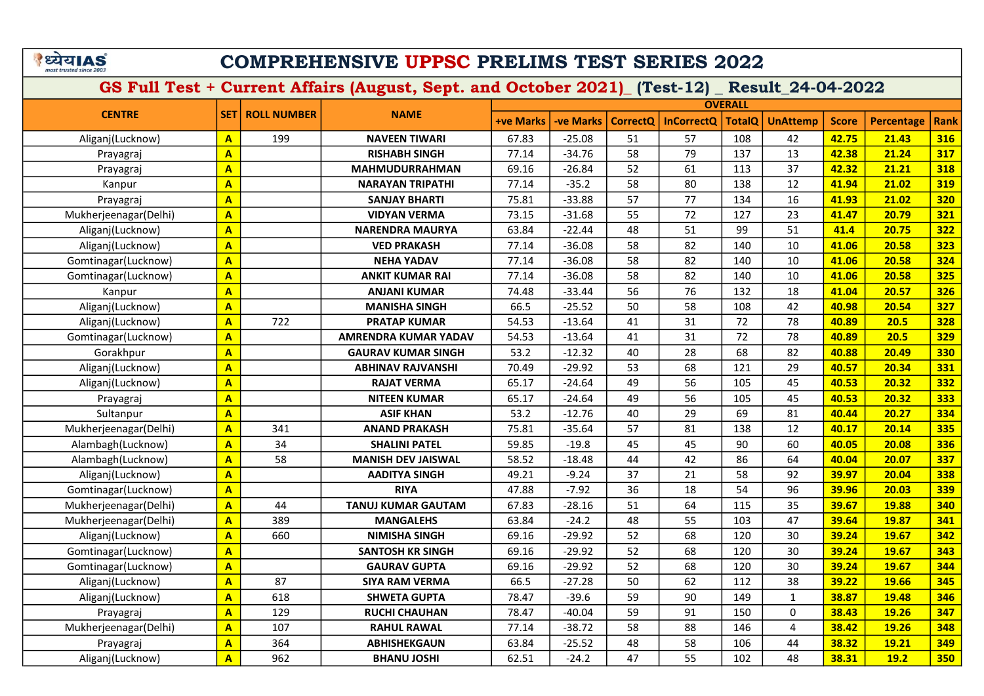# COMPREHENSIVE UPPSC PRELIMS TEST SERIES 2022

|                       |                         |                    |                           |                  |                  |                 |                   | <b>OVERALL</b> |                 |              |                   |      |
|-----------------------|-------------------------|--------------------|---------------------------|------------------|------------------|-----------------|-------------------|----------------|-----------------|--------------|-------------------|------|
| <b>CENTRE</b>         | <b>SET</b>              | <b>ROLL NUMBER</b> | <b>NAME</b>               | <b>+ve Marks</b> | <b>-ve Marks</b> | <b>CorrectO</b> | <b>InCorrectQ</b> | TotalQ         | <b>UnAttemp</b> | <b>Score</b> | <b>Percentage</b> | Rank |
| Aliganj(Lucknow)      | $\overline{\mathbf{A}}$ | 199                | <b>NAVEEN TIWARI</b>      | 67.83            | $-25.08$         | 51              | 57                | 108            | 42              | 42.75        | 21.43             | 316  |
| Prayagraj             | $\mathbf{A}$            |                    | <b>RISHABH SINGH</b>      | 77.14            | $-34.76$         | 58              | 79                | 137            | 13              | 42.38        | 21.24             | 317  |
| Prayagraj             | $\overline{\mathbf{A}}$ |                    | <b>MAHMUDURRAHMAN</b>     | 69.16            | $-26.84$         | 52              | 61                | 113            | 37              | 42.32        | 21.21             | 318  |
| Kanpur                | $\overline{A}$          |                    | <b>NARAYAN TRIPATHI</b>   | 77.14            | $-35.2$          | 58              | 80                | 138            | 12              | 41.94        | 21.02             | 319  |
| Prayagraj             | $\overline{\mathbf{A}}$ |                    | <b>SANJAY BHARTI</b>      | 75.81            | $-33.88$         | 57              | 77                | 134            | 16              | 41.93        | 21.02             | 320  |
| Mukherjeenagar(Delhi) | $\overline{\mathbf{A}}$ |                    | <b>VIDYAN VERMA</b>       | 73.15            | $-31.68$         | 55              | 72                | 127            | 23              | 41.47        | 20.79             | 321  |
| Aliganj(Lucknow)      | $\mathbf{A}$            |                    | <b>NARENDRA MAURYA</b>    | 63.84            | $-22.44$         | 48              | 51                | 99             | 51              | 41.4         | 20.75             | 322  |
| Aliganj(Lucknow)      | $\overline{\mathbf{A}}$ |                    | <b>VED PRAKASH</b>        | 77.14            | $-36.08$         | 58              | 82                | 140            | 10              | 41.06        | 20.58             | 323  |
| Gomtinagar(Lucknow)   | $\overline{\mathbf{A}}$ |                    | <b>NEHA YADAV</b>         | 77.14            | $-36.08$         | 58              | 82                | 140            | 10              | 41.06        | 20.58             | 324  |
| Gomtinagar(Lucknow)   | $\overline{\mathbf{A}}$ |                    | <b>ANKIT KUMAR RAI</b>    | 77.14            | $-36.08$         | 58              | 82                | 140            | 10              | 41.06        | 20.58             | 325  |
| Kanpur                | $\overline{A}$          |                    | <b>ANJANI KUMAR</b>       | 74.48            | $-33.44$         | 56              | 76                | 132            | 18              | 41.04        | 20.57             | 326  |
| Aliganj(Lucknow)      | $\overline{A}$          |                    | <b>MANISHA SINGH</b>      | 66.5             | $-25.52$         | 50              | 58                | 108            | 42              | 40.98        | 20.54             | 327  |
| Aliganj(Lucknow)      | $\overline{\mathbf{A}}$ | 722                | <b>PRATAP KUMAR</b>       | 54.53            | $-13.64$         | 41              | 31                | 72             | 78              | 40.89        | 20.5              | 328  |
| Gomtinagar(Lucknow)   | $\overline{\mathbf{A}}$ |                    | AMRENDRA KUMAR YADAV      | 54.53            | $-13.64$         | 41              | 31                | 72             | 78              | 40.89        | 20.5              | 329  |
| Gorakhpur             | $\overline{A}$          |                    | <b>GAURAV KUMAR SINGH</b> | 53.2             | $-12.32$         | 40              | 28                | 68             | 82              | 40.88        | 20.49             | 330  |
| Aliganj(Lucknow)      | $\overline{\mathbf{A}}$ |                    | <b>ABHINAV RAJVANSHI</b>  | 70.49            | $-29.92$         | 53              | 68                | 121            | 29              | 40.57        | 20.34             | 331  |
| Aliganj(Lucknow)      | $\overline{\mathbf{A}}$ |                    | <b>RAJAT VERMA</b>        | 65.17            | $-24.64$         | 49              | 56                | 105            | 45              | 40.53        | 20.32             | 332  |
| Prayagraj             | $\overline{\mathbf{A}}$ |                    | <b>NITEEN KUMAR</b>       | 65.17            | $-24.64$         | 49              | 56                | 105            | 45              | 40.53        | 20.32             | 333  |
| Sultanpur             | $\mathbf{A}$            |                    | <b>ASIF KHAN</b>          | 53.2             | $-12.76$         | 40              | 29                | 69             | 81              | 40.44        | 20.27             | 334  |
| Mukherjeenagar(Delhi) | $\overline{A}$          | 341                | <b>ANAND PRAKASH</b>      | 75.81            | $-35.64$         | 57              | 81                | 138            | 12              | 40.17        | 20.14             | 335  |
| Alambagh(Lucknow)     | $\overline{\mathbf{A}}$ | 34                 | <b>SHALINI PATEL</b>      | 59.85            | $-19.8$          | 45              | 45                | 90             | 60              | 40.05        | 20.08             | 336  |
| Alambagh(Lucknow)     | A                       | 58                 | <b>MANISH DEV JAISWAL</b> | 58.52            | $-18.48$         | 44              | 42                | 86             | 64              | 40.04        | 20.07             | 337  |
| Aliganj(Lucknow)      | $\overline{A}$          |                    | <b>AADITYA SINGH</b>      | 49.21            | $-9.24$          | 37              | 21                | 58             | 92              | 39.97        | 20.04             | 338  |
| Gomtinagar(Lucknow)   | $\overline{\mathbf{A}}$ |                    | <b>RIYA</b>               | 47.88            | $-7.92$          | 36              | 18                | 54             | 96              | 39.96        | 20.03             | 339  |
| Mukherjeenagar(Delhi) | $\overline{\mathbf{A}}$ | 44                 | <b>TANUJ KUMAR GAUTAM</b> | 67.83            | $-28.16$         | 51              | 64                | 115            | 35              | 39.67        | 19.88             | 340  |
| Mukherjeenagar(Delhi) | $\overline{\mathbf{A}}$ | 389                | <b>MANGALEHS</b>          | 63.84            | $-24.2$          | 48              | 55                | 103            | 47              | 39.64        | 19.87             | 341  |
| Aliganj(Lucknow)      | A                       | 660                | <b>NIMISHA SINGH</b>      | 69.16            | $-29.92$         | 52              | 68                | 120            | 30              | 39.24        | 19.67             | 342  |
| Gomtinagar(Lucknow)   | $\overline{A}$          |                    | <b>SANTOSH KR SINGH</b>   | 69.16            | $-29.92$         | 52              | 68                | 120            | 30              | 39.24        | 19.67             | 343  |
| Gomtinagar(Lucknow)   | $\overline{\mathbf{A}}$ |                    | <b>GAURAV GUPTA</b>       | 69.16            | $-29.92$         | 52              | 68                | 120            | 30              | 39.24        | 19.67             | 344  |
| Aliganj(Lucknow)      | $\overline{\mathbf{A}}$ | 87                 | <b>SIYA RAM VERMA</b>     | 66.5             | $-27.28$         | 50              | 62                | 112            | 38              | 39.22        | 19.66             | 345  |
| Aliganj(Lucknow)      | A                       | 618                | <b>SHWETA GUPTA</b>       | 78.47            | $-39.6$          | 59              | 90                | 149            | $\mathbf{1}$    | 38.87        | 19.48             | 346  |
| Prayagraj             | $\overline{\mathbf{A}}$ | 129                | <b>RUCHI CHAUHAN</b>      | 78.47            | $-40.04$         | 59              | 91                | 150            | $\Omega$        | 38.43        | 19.26             | 347  |
| Mukherjeenagar(Delhi) | $\overline{\mathbf{A}}$ | 107                | <b>RAHUL RAWAL</b>        | 77.14            | $-38.72$         | 58              | 88                | 146            | $\overline{4}$  | 38.42        | 19.26             | 348  |
| Prayagraj             | $\overline{\mathbf{A}}$ | 364                | <b>ABHISHEKGAUN</b>       | 63.84            | $-25.52$         | 48              | 58                | 106            | 44              | 38.32        | 19.21             | 349  |
| Aliganj(Lucknow)      | $\overline{\mathbf{A}}$ | 962                | <b>BHANU JOSHI</b>        | 62.51            | $-24.2$          | 47              | 55                | 102            | 48              | 38.31        | 19.2              | 350  |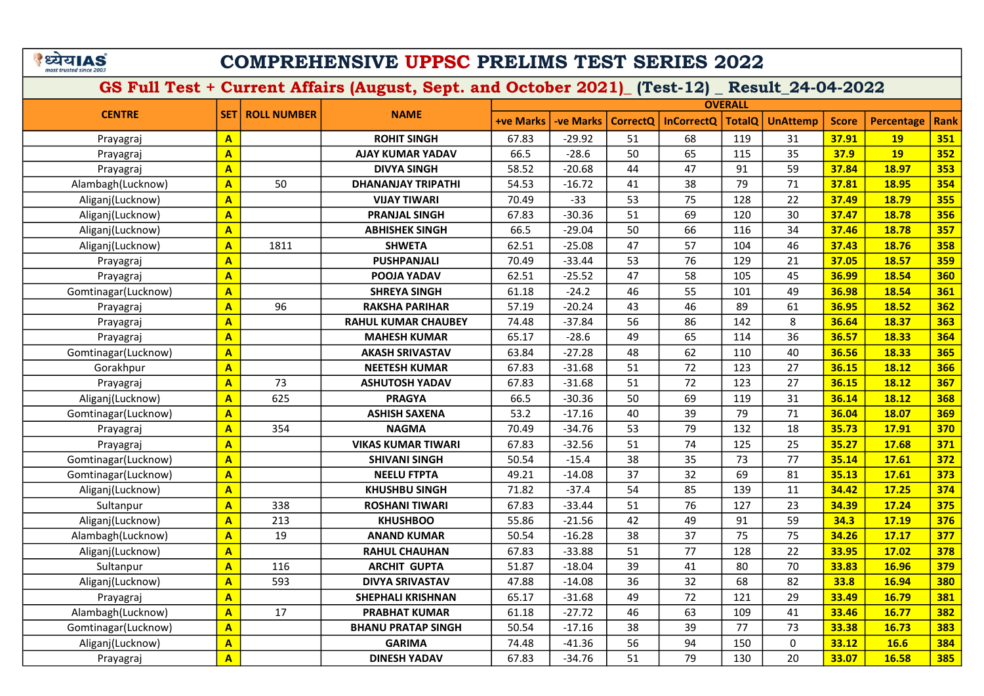# COMPREHENSIVE UPPSC PRELIMS TEST SERIES 2022

|                     |                         |                    |                            |                  |                  |                 |                   | <b>OVERALL</b> |                 |              |                   |             |
|---------------------|-------------------------|--------------------|----------------------------|------------------|------------------|-----------------|-------------------|----------------|-----------------|--------------|-------------------|-------------|
| <b>CENTRE</b>       | SET                     | <b>ROLL NUMBER</b> | <b>NAME</b>                | <b>+ve Marks</b> | <b>-ve Marks</b> | <b>CorrectQ</b> | <b>InCorrectQ</b> | <b>TotalQ</b>  | <b>UnAttemp</b> | <b>Score</b> | <b>Percentage</b> | <b>Rank</b> |
| Prayagraj           | $\mathbf{A}$            |                    | <b>ROHIT SINGH</b>         | 67.83            | $-29.92$         | 51              | 68                | 119            | 31              | 37.91        | <b>19</b>         | 351         |
| Prayagraj           | $\overline{\mathbf{A}}$ |                    | <b>AJAY KUMAR YADAV</b>    | 66.5             | $-28.6$          | 50              | 65                | 115            | 35              | 37.9         | <b>19</b>         | 352         |
| Prayagraj           | $\overline{\mathbf{A}}$ |                    | <b>DIVYA SINGH</b>         | 58.52            | $-20.68$         | 44              | 47                | 91             | 59              | 37.84        | 18.97             | 353         |
| Alambagh(Lucknow)   | $\mathbf{A}$            | 50                 | <b>DHANANJAY TRIPATHI</b>  | 54.53            | $-16.72$         | 41              | 38                | 79             | 71              | 37.81        | 18.95             | 354         |
| Aliganj(Lucknow)    | $\overline{\mathbf{A}}$ |                    | <b>VIJAY TIWARI</b>        | 70.49            | $-33$            | 53              | 75                | 128            | 22              | 37.49        | 18.79             | 355         |
| Aliganj(Lucknow)    | $\overline{\mathsf{A}}$ |                    | <b>PRANJAL SINGH</b>       | 67.83            | $-30.36$         | 51              | 69                | 120            | 30              | 37.47        | 18.78             | 356         |
| Aliganj(Lucknow)    | $\mathbf{A}$            |                    | <b>ABHISHEK SINGH</b>      | 66.5             | $-29.04$         | 50              | 66                | 116            | 34              | 37.46        | 18.78             | 357         |
| Aliganj(Lucknow)    | A                       | 1811               | <b>SHWETA</b>              | 62.51            | $-25.08$         | 47              | 57                | 104            | 46              | 37.43        | 18.76             | 358         |
| Prayagraj           | $\mathbf{A}$            |                    | <b>PUSHPANJALI</b>         | 70.49            | $-33.44$         | 53              | 76                | 129            | 21              | 37.05        | 18.57             | 359         |
| Prayagraj           | A                       |                    | POOJA YADAV                | 62.51            | $-25.52$         | 47              | 58                | 105            | 45              | 36.99        | 18.54             | 360         |
| Gomtinagar(Lucknow) | $\overline{\mathbf{A}}$ |                    | <b>SHREYA SINGH</b>        | 61.18            | $-24.2$          | 46              | 55                | 101            | 49              | 36.98        | 18.54             | 361         |
| Prayagraj           | $\overline{\mathbf{A}}$ | 96                 | <b>RAKSHA PARIHAR</b>      | 57.19            | $-20.24$         | 43              | 46                | 89             | 61              | 36.95        | 18.52             | 362         |
| Prayagraj           | A                       |                    | <b>RAHUL KUMAR CHAUBEY</b> | 74.48            | $-37.84$         | 56              | 86                | 142            | 8               | 36.64        | 18.37             | 363         |
| Prayagraj           | $\overline{A}$          |                    | <b>MAHESH KUMAR</b>        | 65.17            | $-28.6$          | 49              | 65                | 114            | 36              | 36.57        | 18.33             | 364         |
| Gomtinagar(Lucknow) | A                       |                    | <b>AKASH SRIVASTAV</b>     | 63.84            | $-27.28$         | 48              | 62                | 110            | 40              | 36.56        | 18.33             | 365         |
| Gorakhpur           | A                       |                    | <b>NEETESH KUMAR</b>       | 67.83            | $-31.68$         | 51              | 72                | 123            | 27              | 36.15        | 18.12             | 366         |
| Prayagraj           | A                       | 73                 | <b>ASHUTOSH YADAV</b>      | 67.83            | $-31.68$         | 51              | 72                | 123            | 27              | 36.15        | 18.12             | 367         |
| Aliganj(Lucknow)    | $\overline{A}$          | 625                | <b>PRAGYA</b>              | 66.5             | $-30.36$         | 50              | 69                | 119            | 31              | 36.14        | 18.12             | 368         |
| Gomtinagar(Lucknow) | $\overline{\mathsf{A}}$ |                    | <b>ASHISH SAXENA</b>       | 53.2             | $-17.16$         | 40              | 39                | 79             | 71              | 36.04        | 18.07             | 369         |
| Prayagraj           | A                       | 354                | <b>NAGMA</b>               | 70.49            | $-34.76$         | 53              | 79                | 132            | 18              | 35.73        | 17.91             | 370         |
| Prayagraj           | $\overline{\mathsf{A}}$ |                    | <b>VIKAS KUMAR TIWARI</b>  | 67.83            | $-32.56$         | 51              | 74                | 125            | 25              | 35.27        | 17.68             | 371         |
| Gomtinagar(Lucknow) | $\overline{\mathsf{A}}$ |                    | <b>SHIVANI SINGH</b>       | 50.54            | $-15.4$          | 38              | 35                | 73             | 77              | 35.14        | 17.61             | 372         |
| Gomtinagar(Lucknow) | $\overline{\mathsf{A}}$ |                    | <b>NEELU FTPTA</b>         | 49.21            | $-14.08$         | 37              | 32                | 69             | 81              | 35.13        | 17.61             | 373         |
| Aliganj(Lucknow)    | $\overline{\mathsf{A}}$ |                    | <b>KHUSHBU SINGH</b>       | 71.82            | $-37.4$          | 54              | 85                | 139            | 11              | 34.42        | 17.25             | 374         |
| Sultanpur           | A                       | 338                | <b>ROSHANI TIWARI</b>      | 67.83            | $-33.44$         | 51              | $\overline{76}$   | 127            | 23              | 34.39        | 17.24             | 375         |
| Aliganj(Lucknow)    | $\overline{\mathsf{A}}$ | 213                | <b>KHUSHBOO</b>            | 55.86            | $-21.56$         | 42              | 49                | 91             | 59              | 34.3         | 17.19             | 376         |
| Alambagh(Lucknow)   | A                       | 19                 | <b>ANAND KUMAR</b>         | 50.54            | $-16.28$         | 38              | 37                | 75             | 75              | 34.26        | 17.17             | 377         |
| Aliganj(Lucknow)    | $\overline{\mathbf{A}}$ |                    | <b>RAHUL CHAUHAN</b>       | 67.83            | $-33.88$         | 51              | 77                | 128            | 22              | 33.95        | 17.02             | 378         |
| Sultanpur           | $\overline{A}$          | 116                | <b>ARCHIT GUPTA</b>        | 51.87            | $-18.04$         | 39              | 41                | 80             | 70              | 33.83        | 16.96             | 379         |
| Aliganj(Lucknow)    | $\overline{A}$          | 593                | <b>DIVYA SRIVASTAV</b>     | 47.88            | $-14.08$         | 36              | 32                | 68             | 82              | 33.8         | 16.94             | 380         |
| Prayagraj           | A                       |                    | <b>SHEPHALI KRISHNAN</b>   | 65.17            | $-31.68$         | 49              | 72                | 121            | 29              | 33.49        | 16.79             | 381         |
| Alambagh(Lucknow)   | $\overline{\mathbf{A}}$ | 17                 | <b>PRABHAT KUMAR</b>       | 61.18            | $-27.72$         | 46              | 63                | 109            | 41              | 33.46        | 16.77             | 382         |
| Gomtinagar(Lucknow) | A                       |                    | <b>BHANU PRATAP SINGH</b>  | 50.54            | $-17.16$         | 38              | 39                | 77             | 73              | 33.38        | 16.73             | 383         |
| Aliganj(Lucknow)    | $\overline{\mathbf{A}}$ |                    | <b>GARIMA</b>              | 74.48            | $-41.36$         | 56              | 94                | 150            | 0               | 33.12        | 16.6              | 384         |
| Prayagraj           | $\overline{\mathbf{A}}$ |                    | <b>DINESH YADAV</b>        | 67.83            | $-34.76$         | 51              | 79                | 130            | 20              | 33.07        | 16.58             | 385         |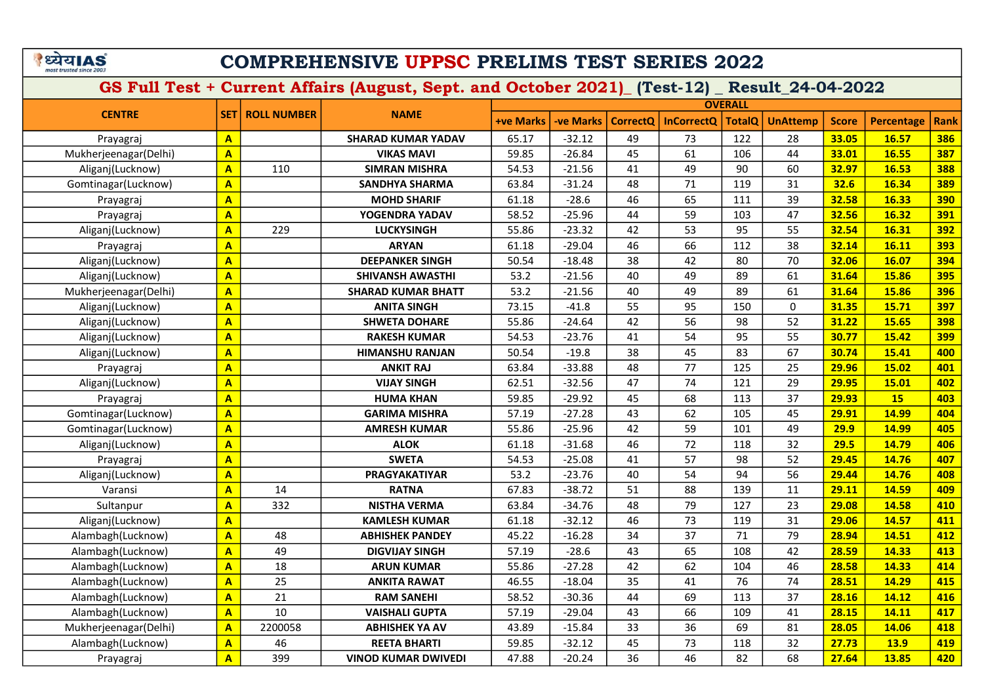# COMPREHENSIVE UPPSC PRELIMS TEST SERIES 2022

|                       |                         |                    |                            |                  |                 |                 |                   | <b>OVERALL</b> |                 |              |             |             |
|-----------------------|-------------------------|--------------------|----------------------------|------------------|-----------------|-----------------|-------------------|----------------|-----------------|--------------|-------------|-------------|
| <b>CENTRE</b>         | <b>SET</b>              | <b>ROLL NUMBER</b> | <b>NAME</b>                | <b>+ve Marks</b> | <b>ve Marks</b> | <b>CorrectQ</b> | <b>InCorrectQ</b> | <b>TotalQ</b>  | <b>UnAttemp</b> | <b>Score</b> | Percentage  | <b>Rank</b> |
| Prayagraj             | $\mathbf{A}$            |                    | <b>SHARAD KUMAR YADAV</b>  | 65.17            | $-32.12$        | 49              | 73                | 122            | 28              | 33.05        | 16.57       | 386         |
| Mukherjeenagar(Delhi) | $\overline{\mathbf{A}}$ |                    | <b>VIKAS MAVI</b>          | 59.85            | $-26.84$        | 45              | 61                | 106            | 44              | 33.01        | 16.55       | 387         |
| Aliganj(Lucknow)      | $\mathbf{A}$            | 110                | <b>SIMRAN MISHRA</b>       | 54.53            | $-21.56$        | 41              | 49                | 90             | 60              | 32.97        | 16.53       | 388         |
| Gomtinagar(Lucknow)   | $\overline{\mathbf{A}}$ |                    | <b>SANDHYA SHARMA</b>      | 63.84            | $-31.24$        | 48              | 71                | 119            | 31              | 32.6         | 16.34       | 389         |
| Prayagraj             | $\overline{\mathbf{A}}$ |                    | <b>MOHD SHARIF</b>         | 61.18            | $-28.6$         | 46              | 65                | 111            | 39              | 32.58        | 16.33       | 390         |
| Prayagraj             | $\overline{\mathsf{A}}$ |                    | YOGENDRA YADAV             | 58.52            | $-25.96$        | 44              | 59                | 103            | 47              | 32.56        | 16.32       | 391         |
| Aliganj(Lucknow)      | $\overline{\mathbf{A}}$ | 229                | <b>LUCKYSINGH</b>          | 55.86            | $-23.32$        | 42              | 53                | 95             | 55              | 32.54        | 16.31       | 392         |
| Prayagraj             | $\overline{\mathbf{A}}$ |                    | <b>ARYAN</b>               | 61.18            | $-29.04$        | 46              | 66                | 112            | 38              | 32.14        | 16.11       | 393         |
| Aliganj(Lucknow)      | $\overline{\mathbf{A}}$ |                    | <b>DEEPANKER SINGH</b>     | 50.54            | $-18.48$        | 38              | 42                | 80             | 70              | 32.06        | 16.07       | 394         |
| Aliganj(Lucknow)      | $\overline{\mathbf{A}}$ |                    | <b>SHIVANSH AWASTHI</b>    | 53.2             | $-21.56$        | 40              | 49                | 89             | 61              | 31.64        | 15.86       | 395         |
| Mukherjeenagar(Delhi) | $\overline{\mathbf{A}}$ |                    | <b>SHARAD KUMAR BHATT</b>  | 53.2             | $-21.56$        | 40              | 49                | 89             | 61              | 31.64        | 15.86       | 396         |
| Aliganj(Lucknow)      | $\overline{\mathbf{A}}$ |                    | <b>ANITA SINGH</b>         | 73.15            | $-41.8$         | 55              | 95                | 150            | $\mathbf{0}$    | 31.35        | 15.71       | 397         |
| Aliganj(Lucknow)      | $\overline{A}$          |                    | <b>SHWETA DOHARE</b>       | 55.86            | $-24.64$        | 42              | 56                | 98             | 52              | 31.22        | 15.65       | 398         |
| Aliganj(Lucknow)      | $\overline{A}$          |                    | <b>RAKESH KUMAR</b>        | 54.53            | $-23.76$        | 41              | 54                | 95             | 55              | 30.77        | 15.42       | 399         |
| Aliganj(Lucknow)      | $\overline{\mathbf{A}}$ |                    | <b>HIMANSHU RANJAN</b>     | 50.54            | $-19.8$         | 38              | 45                | 83             | 67              | 30.74        | 15.41       | 400         |
| Prayagraj             | $\overline{A}$          |                    | <b>ANKIT RAJ</b>           | 63.84            | $-33.88$        | 48              | 77                | 125            | 25              | 29.96        | 15.02       | 401         |
| Aliganj(Lucknow)      | $\overline{\mathbf{A}}$ |                    | <b>VIJAY SINGH</b>         | 62.51            | $-32.56$        | 47              | 74                | 121            | 29              | 29.95        | 15.01       | 402         |
| Prayagraj             | $\overline{\mathbf{A}}$ |                    | <b>HUMA KHAN</b>           | 59.85            | $-29.92$        | 45              | 68                | 113            | 37              | 29.93        | 15          | 403         |
| Gomtinagar(Lucknow)   | $\overline{A}$          |                    | <b>GARIMA MISHRA</b>       | 57.19            | $-27.28$        | 43              | 62                | 105            | 45              | 29.91        | 14.99       | 404         |
| Gomtinagar(Lucknow)   | $\overline{\mathbf{A}}$ |                    | <b>AMRESH KUMAR</b>        | 55.86            | $-25.96$        | 42              | 59                | 101            | 49              | 29.9         | 14.99       | 405         |
| Aliganj(Lucknow)      | A                       |                    | <b>ALOK</b>                | 61.18            | $-31.68$        | 46              | 72                | 118            | 32              | 29.5         | 14.79       | 406         |
| Prayagraj             | $\overline{\mathbf{A}}$ |                    | <b>SWETA</b>               | 54.53            | $-25.08$        | 41              | 57                | 98             | 52              | 29.45        | 14.76       | 407         |
| Aliganj(Lucknow)      | $\overline{\mathbf{A}}$ |                    | <b>PRAGYAKATIYAR</b>       | 53.2             | $-23.76$        | 40              | 54                | 94             | 56              | 29.44        | 14.76       | 408         |
| Varansi               | $\overline{\mathbf{A}}$ | 14                 | <b>RATNA</b>               | 67.83            | $-38.72$        | 51              | 88                | 139            | 11              | 29.11        | 14.59       | 409         |
| Sultanpur             | $\overline{\mathbf{A}}$ | 332                | <b>NISTHA VERMA</b>        | 63.84            | $-34.76$        | 48              | 79                | 127            | 23              | 29.08        | 14.58       | 410         |
| Aliganj(Lucknow)      | $\overline{\mathbf{A}}$ |                    | <b>KAMLESH KUMAR</b>       | 61.18            | $-32.12$        | 46              | 73                | 119            | 31              | 29.06        | 14.57       | 411         |
| Alambagh(Lucknow)     | $\overline{\mathbf{A}}$ | 48                 | <b>ABHISHEK PANDEY</b>     | 45.22            | $-16.28$        | 34              | 37                | 71             | 79              | 28.94        | 14.51       | 412         |
| Alambagh(Lucknow)     | $\overline{\mathsf{A}}$ | 49                 | <b>DIGVIJAY SINGH</b>      | 57.19            | $-28.6$         | 43              | 65                | 108            | 42              | 28.59        | 14.33       | 413         |
| Alambagh(Lucknow)     | $\overline{\mathsf{A}}$ | 18                 | <b>ARUN KUMAR</b>          | 55.86            | $-27.28$        | 42              | 62                | 104            | 46              | 28.58        | 14.33       | 414         |
| Alambagh(Lucknow)     | $\overline{\mathbf{A}}$ | 25                 | <b>ANKITA RAWAT</b>        | 46.55            | $-18.04$        | 35              | 41                | 76             | 74              | 28.51        | 14.29       | 415         |
| Alambagh(Lucknow)     | $\overline{\mathbf{A}}$ | 21                 | <b>RAM SANEHI</b>          | 58.52            | $-30.36$        | 44              | 69                | 113            | 37              | 28.16        | 14.12       | 416         |
| Alambagh(Lucknow)     | $\overline{\mathbf{A}}$ | 10                 | <b>VAISHALI GUPTA</b>      | 57.19            | $-29.04$        | 43              | 66                | 109            | 41              | 28.15        | 14.11       | 417         |
| Mukherjeenagar(Delhi) | $\overline{\mathbf{A}}$ | 2200058            | <b>ABHISHEK YA AV</b>      | 43.89            | $-15.84$        | 33              | 36                | 69             | 81              | 28.05        | 14.06       | 418         |
| Alambagh(Lucknow)     | $\mathbf{A}$            | 46                 | <b>REETA BHARTI</b>        | 59.85            | $-32.12$        | 45              | 73                | 118            | 32              | 27.73        | <b>13.9</b> | 419         |
| Prayagraj             | $\overline{\mathbf{A}}$ | 399                | <b>VINOD KUMAR DWIVEDI</b> | 47.88            | $-20.24$        | 36              | 46                | 82             | 68              | 27.64        | 13.85       | 420         |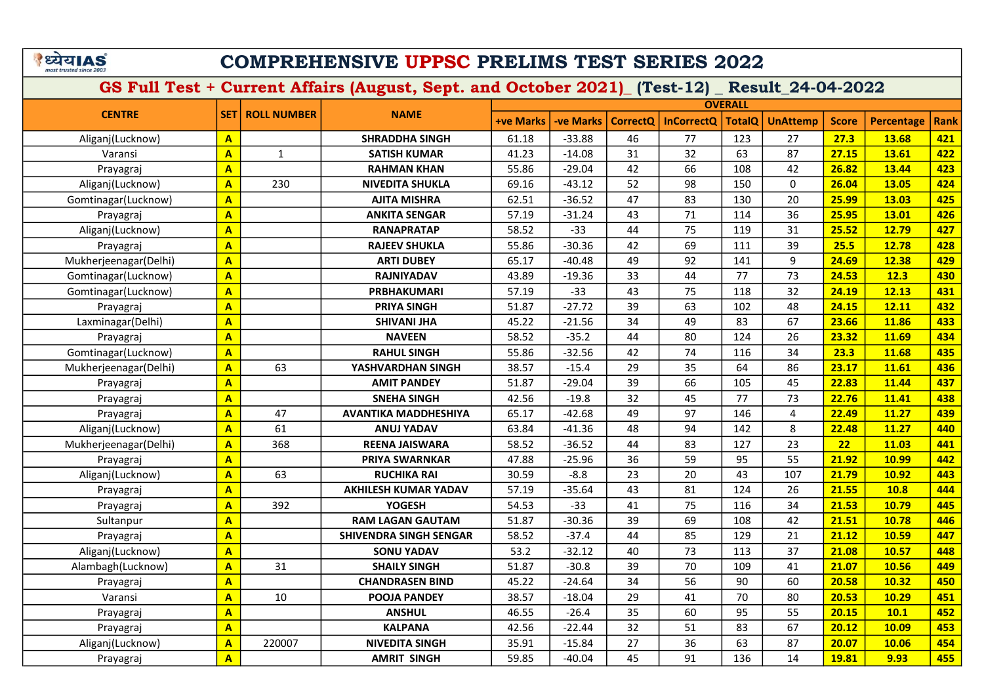# COMPREHENSIVE UPPSC PRELIMS TEST SERIES 2022

| <b>CENTRE</b>         |                         | <b>ROLL NUMBER</b> | <b>NAME</b>                   | <b>OVERALL</b>   |                  |                 |                   |               |                 |              |                   |             |
|-----------------------|-------------------------|--------------------|-------------------------------|------------------|------------------|-----------------|-------------------|---------------|-----------------|--------------|-------------------|-------------|
|                       | <b>SET</b>              |                    |                               | <b>+ve Marks</b> | <b>-ve Marks</b> | <b>CorrectO</b> | <b>InCorrectQ</b> | <b>TotalQ</b> | <b>UnAttemp</b> | <b>Score</b> | <b>Percentage</b> | <b>Rank</b> |
| Aliganj(Lucknow)      | $\mathbf{A}$            |                    | <b>SHRADDHA SINGH</b>         | 61.18            | $-33.88$         | 46              | 77                | 123           | 27              | 27.3         | 13.68             | 421         |
| Varansi               | $\mathbf{A}$            | $\mathbf{1}$       | <b>SATISH KUMAR</b>           | 41.23            | $-14.08$         | 31              | 32                | 63            | 87              | 27.15        | 13.61             | 422         |
| Prayagraj             | $\overline{\mathbf{A}}$ |                    | <b>RAHMAN KHAN</b>            | 55.86            | $-29.04$         | 42              | 66                | 108           | 42              | 26.82        | 13.44             | 423         |
| Aliganj(Lucknow)      | $\overline{\mathbf{A}}$ | 230                | <b>NIVEDITA SHUKLA</b>        | 69.16            | $-43.12$         | 52              | 98                | 150           | $\mathbf 0$     | 26.04        | 13.05             | 424         |
| Gomtinagar(Lucknow)   | $\mathbf{A}$            |                    | <b>AJITA MISHRA</b>           | 62.51            | $-36.52$         | 47              | 83                | 130           | 20              | 25.99        | 13.03             | 425         |
| Prayagraj             | $\mathbf{A}$            |                    | <b>ANKITA SENGAR</b>          | 57.19            | $-31.24$         | 43              | 71                | 114           | 36              | 25.95        | 13.01             | 426         |
| Aliganj(Lucknow)      | $\overline{\mathbf{A}}$ |                    | <b>RANAPRATAP</b>             | 58.52            | $-33$            | 44              | 75                | 119           | 31              | 25.52        | 12.79             | 427         |
| Prayagraj             | $\overline{\mathbf{A}}$ |                    | <b>RAJEEV SHUKLA</b>          | 55.86            | $-30.36$         | 42              | 69                | 111           | 39              | 25.5         | 12.78             | 428         |
| Mukherjeenagar(Delhi) | $\mathbf{A}$            |                    | <b>ARTI DUBEY</b>             | 65.17            | $-40.48$         | 49              | 92                | 141           | 9               | 24.69        | 12.38             | 429         |
| Gomtinagar(Lucknow)   | $\mathbf{A}$            |                    | <b>RAJNIYADAV</b>             | 43.89            | $-19.36$         | 33              | 44                | 77            | 73              | 24.53        | 12.3              | 430         |
| Gomtinagar(Lucknow)   | $\overline{\mathbf{A}}$ |                    | <b>PRBHAKUMARI</b>            | 57.19            | $-33$            | 43              | 75                | 118           | 32              | 24.19        | 12.13             | 431         |
| Prayagraj             | $\overline{\mathbf{A}}$ |                    | <b>PRIYA SINGH</b>            | 51.87            | $-27.72$         | 39              | 63                | 102           | 48              | 24.15        | 12.11             | 432         |
| Laxminagar(Delhi)     | $\overline{\mathbf{A}}$ |                    | <b>SHIVANI JHA</b>            | 45.22            | $-21.56$         | 34              | 49                | 83            | 67              | 23.66        | 11.86             | 433         |
| Prayagraj             | $\overline{\mathbf{A}}$ |                    | <b>NAVEEN</b>                 | 58.52            | $-35.2$          | 44              | 80                | 124           | 26              | 23.32        | 11.69             | 434         |
| Gomtinagar(Lucknow)   | $\overline{\mathbf{A}}$ |                    | <b>RAHUL SINGH</b>            | 55.86            | $-32.56$         | 42              | 74                | 116           | 34              | 23.3         | 11.68             | 435         |
| Mukherjeenagar(Delhi) | $\mathbf{A}$            | 63                 | YASHVARDHAN SINGH             | 38.57            | $-15.4$          | 29              | 35                | 64            | 86              | 23.17        | 11.61             | 436         |
| Prayagraj             | $\mathbf{A}$            |                    | <b>AMIT PANDEY</b>            | 51.87            | $-29.04$         | 39              | 66                | 105           | 45              | 22.83        | 11.44             | 437         |
| Prayagraj             | $\overline{\mathbf{A}}$ |                    | <b>SNEHA SINGH</b>            | 42.56            | $-19.8$          | 32              | 45                | 77            | 73              | 22.76        | 11.41             | 438         |
| Prayagraj             | $\overline{\mathbf{A}}$ | 47                 | <b>AVANTIKA MADDHESHIYA</b>   | 65.17            | $-42.68$         | 49              | 97                | 146           | 4               | 22.49        | 11.27             | 439         |
| Aliganj(Lucknow)      | $\overline{A}$          | 61                 | <b>ANUJ YADAV</b>             | 63.84            | $-41.36$         | 48              | 94                | 142           | 8               | 22.48        | 11.27             | 440         |
| Mukherjeenagar(Delhi) | $\overline{A}$          | 368                | <b>REENA JAISWARA</b>         | 58.52            | $-36.52$         | 44              | 83                | 127           | 23              | 22           | 11.03             | 441         |
| Prayagraj             | $\mathbf{A}$            |                    | <b>PRIYA SWARNKAR</b>         | 47.88            | $-25.96$         | 36              | 59                | 95            | 55              | 21.92        | 10.99             | 442         |
| Aliganj(Lucknow)      | $\mathbf{A}$            | 63                 | <b>RUCHIKA RAI</b>            | 30.59            | $-8.8$           | 23              | 20                | 43            | 107             | 21.79        | 10.92             | 443         |
| Prayagraj             | $\mathbf{A}$            |                    | <b>AKHILESH KUMAR YADAV</b>   | 57.19            | $-35.64$         | 43              | 81                | 124           | 26              | 21.55        | 10.8              | 444         |
| Prayagraj             | $\overline{\mathbf{A}}$ | 392                | <b>YOGESH</b>                 | 54.53            | $-33$            | 41              | 75                | 116           | 34              | 21.53        | 10.79             | 445         |
| Sultanpur             | $\overline{\mathbf{A}}$ |                    | <b>RAM LAGAN GAUTAM</b>       | 51.87            | $-30.36$         | 39              | 69                | 108           | 42              | 21.51        | 10.78             | 446         |
| Prayagraj             | $\mathbf{A}$            |                    | <b>SHIVENDRA SINGH SENGAR</b> | 58.52            | $-37.4$          | 44              | 85                | 129           | 21              | 21.12        | 10.59             | 447         |
| Aliganj(Lucknow)      | $\mathbf{A}$            |                    | <b>SONU YADAV</b>             | 53.2             | $-32.12$         | 40              | 73                | 113           | 37              | 21.08        | 10.57             | 448         |
| Alambagh(Lucknow)     | $\overline{\mathbf{A}}$ | 31                 | <b>SHAILY SINGH</b>           | 51.87            | $-30.8$          | 39              | 70                | 109           | 41              | 21.07        | 10.56             | 449         |
| Prayagraj             | $\overline{\mathbf{A}}$ |                    | <b>CHANDRASEN BIND</b>        | 45.22            | $-24.64$         | 34              | 56                | 90            | 60              | 20.58        | 10.32             | 450         |
| Varansi               | $\overline{\mathbf{A}}$ | 10                 | <b>POOJA PANDEY</b>           | 38.57            | $-18.04$         | 29              | 41                | 70            | 80              | 20.53        | 10.29             | 451         |
| Prayagraj             | $\mathbf{A}$            |                    | <b>ANSHUL</b>                 | 46.55            | $-26.4$          | 35              | 60                | 95            | 55              | 20.15        | 10.1              | 452         |
| Prayagraj             | $\overline{\mathbf{A}}$ |                    | <b>KALPANA</b>                | 42.56            | $-22.44$         | 32              | 51                | 83            | 67              | 20.12        | 10.09             | 453         |
| Aliganj(Lucknow)      | $\overline{\mathbf{A}}$ | 220007             | <b>NIVEDITA SINGH</b>         | 35.91            | $-15.84$         | 27              | 36                | 63            | 87              | 20.07        | 10.06             | 454         |
| Prayagraj             | $\overline{\mathbf{A}}$ |                    | <b>AMRIT SINGH</b>            | 59.85            | $-40.04$         | 45              | 91                | 136           | 14              | 19.81        | 9.93              | 455         |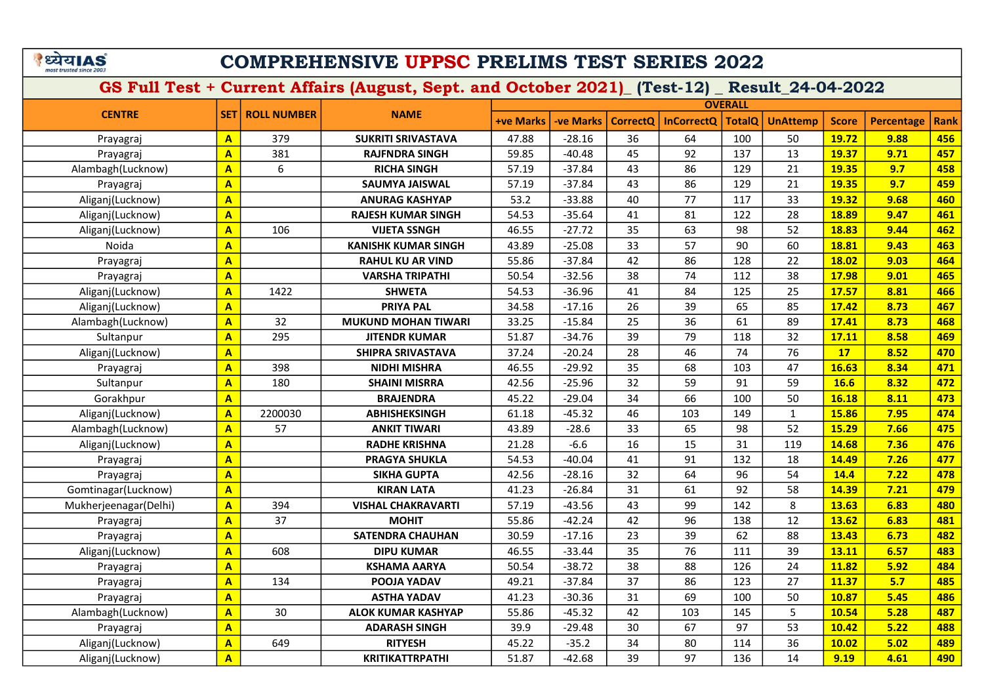# COMPREHENSIVE UPPSC PRELIMS TEST SERIES 2022

| <b>CENTRE</b>         | <b>SET I</b>            | <b>ROLL NUMBER</b> | <b>NAME</b>                | <b>OVERALL</b>   |                  |                 |                   |               |                 |              |            |             |  |
|-----------------------|-------------------------|--------------------|----------------------------|------------------|------------------|-----------------|-------------------|---------------|-----------------|--------------|------------|-------------|--|
|                       |                         |                    |                            | <b>+ve Marks</b> | <b>-ve Marks</b> | <b>CorrectQ</b> | <b>InCorrectQ</b> | <b>TotalQ</b> | <b>UnAttemp</b> | <b>Score</b> | Percentage | <b>Rank</b> |  |
| Prayagraj             | $\mathbf{A}$            | 379                | <b>SUKRITI SRIVASTAVA</b>  | 47.88            | $-28.16$         | 36              | 64                | 100           | 50              | 19.72        | 9.88       | 456         |  |
| Prayagraj             | $\mathbf{A}$            | 381                | <b>RAJFNDRA SINGH</b>      | 59.85            | $-40.48$         | 45              | 92                | 137           | 13              | 19.37        | 9.71       | 457         |  |
| Alambagh(Lucknow)     | $\overline{\mathbf{A}}$ | 6                  | <b>RICHA SINGH</b>         | 57.19            | $-37.84$         | 43              | 86                | 129           | 21              | 19.35        | 9.7        | 458         |  |
| Prayagraj             | $\mathbf{A}$            |                    | SAUMYA JAISWAL             | 57.19            | $-37.84$         | 43              | 86                | 129           | 21              | 19.35        | 9.7        | 459         |  |
| Aliganj(Lucknow)      | $\mathbf{A}$            |                    | <b>ANURAG KASHYAP</b>      | 53.2             | $-33.88$         | 40              | 77                | 117           | 33              | 19.32        | 9.68       | 460         |  |
| Aliganj(Lucknow)      | $\mathbf{A}$            |                    | <b>RAJESH KUMAR SINGH</b>  | 54.53            | $-35.64$         | 41              | 81                | 122           | 28              | 18.89        | 9.47       | 461         |  |
| Aliganj(Lucknow)      | $\overline{\mathbf{A}}$ | 106                | <b>VIJETA SSNGH</b>        | 46.55            | $-27.72$         | 35              | 63                | 98            | 52              | 18.83        | 9.44       | 462         |  |
| Noida                 | $\overline{\mathbf{A}}$ |                    | <b>KANISHK KUMAR SINGH</b> | 43.89            | $-25.08$         | 33              | 57                | 90            | 60              | 18.81        | 9.43       | 463         |  |
| Prayagraj             | $\overline{\mathbf{A}}$ |                    | <b>RAHUL KU AR VIND</b>    | 55.86            | $-37.84$         | 42              | 86                | 128           | 22              | 18.02        | 9.03       | 464         |  |
| Prayagraj             | $\mathbf{A}$            |                    | <b>VARSHA TRIPATHI</b>     | 50.54            | $-32.56$         | 38              | 74                | 112           | 38              | 17.98        | 9.01       | 465         |  |
| Aliganj(Lucknow)      | $\overline{\mathbf{A}}$ | 1422               | <b>SHWETA</b>              | 54.53            | $-36.96$         | 41              | 84                | 125           | 25              | 17.57        | 8.81       | 466         |  |
| Aliganj(Lucknow)      | $\mathbf{A}$            |                    | <b>PRIYA PAL</b>           | 34.58            | $-17.16$         | 26              | 39                | 65            | 85              | 17.42        | 8.73       | 467         |  |
| Alambagh(Lucknow)     | $\overline{A}$          | 32                 | <b>MUKUND MOHAN TIWARI</b> | 33.25            | $-15.84$         | 25              | 36                | 61            | 89              | 17.41        | 8.73       | 468         |  |
| Sultanpur             | $\overline{\mathbf{A}}$ | 295                | <b>JITENDR KUMAR</b>       | 51.87            | $-34.76$         | 39              | 79                | 118           | 32              | 17.11        | 8.58       | 469         |  |
| Aliganj(Lucknow)      | $\overline{\mathbf{A}}$ |                    | SHIPRA SRIVASTAVA          | 37.24            | $-20.24$         | 28              | 46                | 74            | 76              | 17           | 8.52       | 470         |  |
| Prayagraj             | $\overline{\mathbf{A}}$ | 398                | <b>NIDHI MISHRA</b>        | 46.55            | $-29.92$         | 35              | 68                | 103           | 47              | 16.63        | 8.34       | 471         |  |
| Sultanpur             | $\overline{\mathbf{A}}$ | 180                | <b>SHAINI MISRRA</b>       | 42.56            | $-25.96$         | 32              | 59                | 91            | 59              | 16.6         | 8.32       | 472         |  |
| Gorakhpur             | $\overline{A}$          |                    | <b>BRAJENDRA</b>           | 45.22            | $-29.04$         | 34              | 66                | 100           | 50              | 16.18        | 8.11       | 473         |  |
| Aliganj(Lucknow)      | $\mathbf{A}$            | 2200030            | <b>ABHISHEKSINGH</b>       | 61.18            | $-45.32$         | 46              | 103               | 149           | $\mathbf{1}$    | 15.86        | 7.95       | 474         |  |
| Alambagh(Lucknow)     | $\overline{\mathbf{A}}$ | 57                 | <b>ANKIT TIWARI</b>        | 43.89            | $-28.6$          | 33              | 65                | 98            | 52              | 15.29        | 7.66       | 475         |  |
| Aliganj(Lucknow)      | A                       |                    | <b>RADHE KRISHNA</b>       | 21.28            | $-6.6$           | 16              | 15                | 31            | 119             | 14.68        | 7.36       | 476         |  |
| Prayagraj             | $\overline{\mathsf{A}}$ |                    | <b>PRAGYA SHUKLA</b>       | 54.53            | $-40.04$         | 41              | 91                | 132           | 18              | 14.49        | 7.26       | 477         |  |
| Prayagraj             | $\overline{\mathbf{A}}$ |                    | <b>SIKHA GUPTA</b>         | 42.56            | $-28.16$         | 32              | 64                | 96            | 54              | 14.4         | 7.22       | 478         |  |
| Gomtinagar(Lucknow)   | $\overline{\mathbf{A}}$ |                    | <b>KIRAN LATA</b>          | 41.23            | $-26.84$         | 31              | 61                | 92            | 58              | 14.39        | 7.21       | 479         |  |
| Mukherjeenagar(Delhi) | $\overline{A}$          | 394                | <b>VISHAL CHAKRAVARTI</b>  | 57.19            | $-43.56$         | 43              | 99                | 142           | 8               | 13.63        | 6.83       | 480         |  |
| Prayagraj             | $\overline{\mathbf{A}}$ | 37                 | <b>MOHIT</b>               | 55.86            | $-42.24$         | 42              | 96                | 138           | 12              | 13.62        | 6.83       | 481         |  |
| Prayagraj             | $\overline{\mathbf{A}}$ |                    | <b>SATENDRA CHAUHAN</b>    | 30.59            | $-17.16$         | 23              | 39                | 62            | 88              | 13.43        | 6.73       | 482         |  |
| Aliganj(Lucknow)      | $\overline{\mathsf{A}}$ | 608                | <b>DIPU KUMAR</b>          | 46.55            | $-33.44$         | 35              | 76                | 111           | 39              | 13.11        | 6.57       | 483         |  |
| Prayagraj             | $\mathbf{A}$            |                    | <b>KSHAMA AARYA</b>        | 50.54            | $-38.72$         | 38              | 88                | 126           | 24              | 11.82        | 5.92       | 484         |  |
| Prayagraj             | $\overline{\mathbf{A}}$ | 134                | POOJA YADAV                | 49.21            | $-37.84$         | 37              | 86                | 123           | 27              | 11.37        | 5.7        | 485         |  |
| Prayagraj             | $\overline{\mathbf{A}}$ |                    | <b>ASTHA YADAV</b>         | 41.23            | $-30.36$         | 31              | 69                | 100           | 50              | 10.87        | 5.45       | 486         |  |
| Alambagh(Lucknow)     | $\overline{\mathsf{A}}$ | 30                 | <b>ALOK KUMAR KASHYAP</b>  | 55.86            | $-45.32$         | 42              | 103               | 145           | 5               | 10.54        | 5.28       | 487         |  |
| Prayagraj             | $\overline{\mathbf{A}}$ |                    | <b>ADARASH SINGH</b>       | 39.9             | $-29.48$         | 30              | 67                | 97            | 53              | 10.42        | 5.22       | 488         |  |
| Aliganj(Lucknow)      | $\overline{\mathbf{A}}$ | 649                | <b>RITYESH</b>             | 45.22            | $-35.2$          | 34              | 80                | 114           | 36              | 10.02        | 5.02       | 489         |  |
| Aliganj(Lucknow)      | $\overline{\mathsf{A}}$ |                    | <b>KRITIKATTRPATHI</b>     | 51.87            | $-42.68$         | 39              | 97                | 136           | 14              | 9.19         | 4.61       | 490         |  |